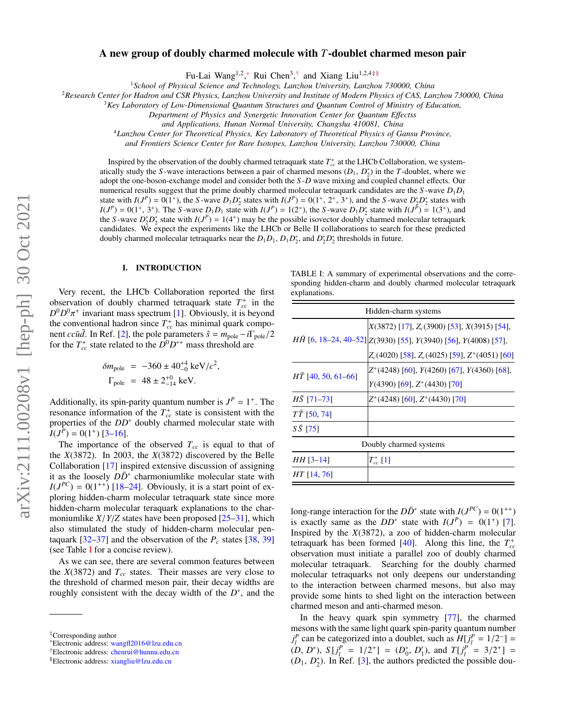## A new group of doubly charmed molecule with *T*-doublet charmed meson pair

Fu-Lai Wang<sup>1,2</sup>,\* Rui Chen<sup>3</sup>,<sup>[†](#page-0-1)</sup> and Xiang Liu<sup>1,2,4[‡§](#page-0-2)</sup>

<sup>1</sup>*School of Physical Science and Technology, Lanzhou University, Lanzhou 730000, China*

<sup>2</sup>*Research Center for Hadron and CSR Physics, Lanzhou University and Institute of Modern Physics of CAS, Lanzhou 730000, China*

<sup>3</sup>*Key Laboratory of Low-Dimensional Quantum Structures and Quantum Control of Ministry of Education,*

*Department of Physics and Synergetic Innovation Center for Quantum E*ff*ectss*

*and Applications, Hunan Normal University, Changsha 410081, China*

<sup>4</sup>*Lanzhou Center for Theoretical Physics, Key Laboratory of Theoretical Physics of Gansu Province,*

*and Frontiers Science Center for Rare Isotopes, Lanzhou University, Lanzhou 730000, China*

Inspired by the observation of the doubly charmed tetraquark state  $T_{cc}^+$  at the LHCb Collaboration, we systematically study the *S*-wave interactions between a pair of charmed mesons  $(D_1, D_2^*)$  in the *T*-doublet, where we<br>adopt the one-boson-exchange model and consider both the *S-D* wave mixing and coupled channel effects. Ou adopt the one-boson-exchange model and consider both the *S* -*D* wave mixing and coupled channel effects. Our numerical results suggest that the prime doubly charmed molecular tetraquark candidates are the *S* -wave *D*1*D*<sup>1</sup> state with  $I(J^P) = 0(1^+)$ , the *S*-wave  $D_1 D_2^*$  states with  $I(J^P) = 0(1^+, 2^+, 3^+)$ , and the *S*-wave  $D_2^* D_2^*$  states with  $I(J^P) = 0(1^+, 3^+)$ . The *S*-wave *D*, *D*, state with  $I(J^P) = 1(3^+)$  and  $I(J^P) = 0(1^+, 3^+)$ . The S-wave  $D_1D_1$  state with  $I(J^P) = 1(2^+)$ , the S-wave  $D_1D_2^*$  state with  $I(J^P) = 1(3^+)$ , and the S-wave  $D_1^*D_2^*$  state with  $I(J^P) = 1(4^+)$  may be the possible isovector doubly charmed molecu the *S*-wave  $D_2^* D_2^*$  state with  $I(J^P) = 1(4^+)$  may be the possible isovector doubly charmed molecular tetraquark candidates. We expect the experiments like the LHCb or Belle II collaborations to search for these predicted doubly charmed molecular tetraquarks near the  $D_1D_1$ ,  $D_1D_2^*$ , and  $D_2^*D_2^*$  thresholds in future.

#### <span id="page-0-4"></span>I. INTRODUCTION

Very recent, the LHCb Collaboration reported the first observation of doubly charmed tetraquark state  $T_{cc}^+$  in the  $D^0 D^0 \pi^+$  invariant mass spectrum [\[1\]](#page-7-0). Obviously, it is beyond the conventional hadron since  $T_{cc}^+$  has minimal quark component *ccu* $\bar{d}$ . In Ref. [\[2\]](#page-7-1), the pole parameters  $\hat{s} = m_{pole} - i\Gamma_{pole}/2$ for the  $T_{cc}^+$  state related to the  $D^0D^{*+}$  mass threshold are

$$
\delta m_{\text{pole}} = -360 \pm 40^{+4}_{-0} \text{ keV}/c^2,
$$
  
\n
$$
\Gamma_{\text{pole}} = 48 \pm 2^{+0}_{-14} \text{ keV}.
$$

Additionally, its spin-parity quantum number is  $J^P = 1^+$ . The resonance information of the  $T_{cc}^+$  state is consistent with the properties of the *DD*<sup>∗</sup> doubly charmed molecular state with  $I(J^P) = 0(1^+)$  [\[3](#page-7-2)[–16\]](#page-7-3).

The importance of the observed  $T_{cc}$  is equal to that of the *X*(3872). In 2003, the *X*(3872) discovered by the Belle Collaboration [\[17\]](#page-7-4) inspired extensive discussion of assigning it as the loosely  $D\overline{D}^*$  charmoniumlike molecular state with  $I(J^{PC}) = 0(1^{++})$  [\[18](#page-7-5)[–24\]](#page-7-6). Obviously, it is a start point of exploring hidden-charm molecular tetraquark state since more hidden-charm molecular teraquark explanations to the charmoniumlike *<sup>X</sup>*/*Y*/*<sup>Z</sup>* states have been proposed [\[25–](#page-7-7)[31\]](#page-9-0), which also stimulated the study of hidden-charm molecular pentaquark  $[32-37]$  $[32-37]$  and the observation of the  $P_c$  states  $[38, 39]$  $[38, 39]$  $[38, 39]$ (see Table [I](#page-0-3) for a concise review).

As we can see, there are several common features between the  $X(3872)$  and  $T_{cc}$  states. Their masses are very close to the threshold of charmed meson pair, their decay widths are roughly consistent with the decay width of the  $D^*$ , and the

<span id="page-0-3"></span>TABLE I: A summary of experimental observations and the corresponding hidden-charm and doubly charmed molecular tetraquark explanations.

| Hidden-charm systems       |                                                                               |  |  |  |
|----------------------------|-------------------------------------------------------------------------------|--|--|--|
|                            | $X(3872)$ [17], $Z_c(3900)$ [53], $X(3915)$ [54],                             |  |  |  |
|                            | $H\bar{H}$ [6, 18–24, 40–52]] $Z(3930)$ [55], $Y(3940)$ [56], $Y(4008)$ [57], |  |  |  |
|                            | $Z_c(4020)$ [58], $Z_c(4025)$ [59], $Z^+(4051)$ [60]                          |  |  |  |
| $H\bar{T}$ [40, 50, 61–66] | $Z^+(4248)$ [60], $Y(4260)$ [67], $Y(4360)$ [68],                             |  |  |  |
|                            | $Y(4390)$ [69], $Z^+(4430)$ [70]                                              |  |  |  |
| $HS$ [71-73]               | $Z^+(4248)$ [60], $Z^+(4430)$ [70]                                            |  |  |  |
| $T\bar{T}$ [50, 74]        |                                                                               |  |  |  |
| $S\bar{S}$ [75]            |                                                                               |  |  |  |
| Doubly charmed systems     |                                                                               |  |  |  |
| $HH$ [3-14]                | $T_{cc}^{+}$ [1]                                                              |  |  |  |
| <i>HT</i> [14, 76]         |                                                                               |  |  |  |
|                            |                                                                               |  |  |  |

long-range interaction for the  $D\overline{D}^*$  state with  $I(J^{PC}) = 0(1^{++})$ is exactly same as the  $DD^*$  state with  $I(J^P) = 0(1^+)$  [\[7\]](#page-7-10). Inspired by the *X*(3872), a zoo of hidden-charm molecular tetraquark has been formed  $[40]$ . Along this line, the  $T_{cc}^+$ observation must initiate a parallel zoo of doubly charmed molecular tetraquark. Searching for the doubly charmed molecular tetraquarks not only deepens our understanding to the interaction between charmed mesons, but also may provide some hints to shed light on the interaction between charmed meson and anti-charmed meson.

In the heavy quark spin symmetry [\[77\]](#page-10-5), the charmed mesons with the same light quark spin-parity quantum number *j*<sup>*p*</sup> can be categorized into a doublet, such as  $H[j^p] = 1/2^-$  =  $(2^-1)^{-1} = (2^+1)^{-1} = (2^+1)^{-1} = (2^+1)^{-1} = (2^+1)^{-1} = (2^+1)^{-1} = (2^+1)^{-1} = (2^+1)^{-1} = (2^+1)^{-1} = (2^+1)^{-1} = (2^+1)^{-1} = (2^+1)^{-1} = (2^+1)^{-1} = (2^+1)^{-1} = (2^+1)^{-1} = (2^$  $(D, D^*)$ ,  $S[j]_l^p = 1/2^+$  =  $(D_0^*, D_1'),$  and  $T[j]_l^p = 3/2^+$  =  $(D_1, D^*)$ . In Ref. [3] the authors predicted the possible dou- $(D_1, D_2^*)$ . In Ref. [\[3\]](#page-7-2), the authors predicted the possible dou-

<sup>‡</sup>Corresponding author

<span id="page-0-0"></span><sup>∗</sup>Electronic address: [wangfl2016@lzu.edu.cn](mailto:wangfl2016@lzu.edu.cn)

<span id="page-0-1"></span><sup>†</sup>Electronic address: [chenrui@hunnu.edu.cn](mailto:chenrui@hunnu.edu.cn)

<span id="page-0-2"></span><sup>§</sup>Electronic address: [xiangliu@lzu.edu.cn](mailto:xiangliu@lzu.edu.cn)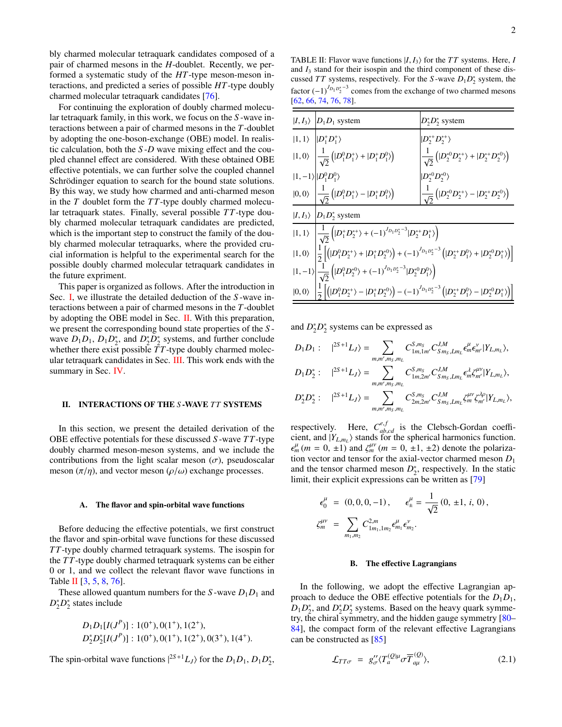bly charmed molecular tetraquark candidates composed of a pair of charmed mesons in the *H*-doublet. Recently, we performed a systematic study of the *HT*-type meson-meson interactions, and predicted a series of possible *HT*-type doubly charmed molecular tetraquark candidates [\[76\]](#page-10-4).

For continuing the exploration of doubly charmed molecular tetraquark family, in this work, we focus on the *S* -wave interactions between a pair of charmed mesons in the *T*-doublet by adopting the one-boson-exchange (OBE) model. In realistic calculation, both the *S* -*D* wave mixing effect and the coupled channel effect are considered. With these obtained OBE effective potentials, we can further solve the coupled channel Schrödinger equation to search for the bound state solutions. By this way, we study how charmed and anti-charmed meson in the *T* doublet form the *T T*-type doubly charmed molecular tetraquark states. Finally, several possible *T T*-type doubly charmed molecular tetraquark candidates are predicted, which is the important step to construct the family of the doubly charmed molecular tetraquarks, where the provided crucial information is helpful to the experimental search for the possible doubly charmed molecular tetraquark candidates in the future expriment.

This paper is organized as follows. After the introduction in Sec. [I,](#page-0-4) we illustrate the detailed deduction of the *S* -wave interactions between a pair of charmed mesons in the *T*-doublet by adopting the OBE model in Sec. [II.](#page-1-0) With this preparation, we present the corresponding bound state properties of the *S* wave  $D_1D_1$ ,  $D_1D_2^*$ , and  $D_2^*D_2^*$  systems, and further conclude whether there exist possible  $\overline{T}T$ -type doubly charmed molecular tetraquark candidates in Sec. [III.](#page-4-0) This work ends with the summary in Sec. [IV.](#page-6-0)

### <span id="page-1-0"></span>II. INTERACTIONS OF THE *S*-WAVE *TT* SYSTEMS

In this section, we present the detailed derivation of the OBE effective potentials for these discussed *S* -wave *T T*-type doubly charmed meson-meson systems, and we include the contributions from the light scalar meson  $(\sigma)$ , pseudoscalar meson  $(\pi/\eta)$ , and vector meson  $(\rho/\omega)$  exchange processes.

#### A. The flavor and spin-orbital wave functions

Before deducing the effective potentials, we first construct the flavor and spin-orbital wave functions for these discussed *T T*-type doubly charmed tetraquark systems. The isospin for the *T T*-type doubly charmed tetraquark systems can be either 0 or 1, and we collect the relevant flavor wave functions in Table [II](#page-1-1)  $[3, 5, 8, 76]$  $[3, 5, 8, 76]$  $[3, 5, 8, 76]$  $[3, 5, 8, 76]$  $[3, 5, 8, 76]$  $[3, 5, 8, 76]$  $[3, 5, 8, 76]$ .

These allowed quantum numbers for the *S*-wave  $D_1D_1$  and  $D_2^* D_2^*$  states include

$$
D_1D_1[I(J^P)] : 1(0^+), 0(1^+), 1(2^+),
$$
  

$$
D_2^*D_2^*[I(J^P)] : 1(0^+), 0(1^+), 1(2^+), 0(3^+), 1(4^+).
$$

The spin-orbital wave functions  $|^{2S+1}L_J\rangle$  for the  $D_1D_1, D_1D_2^*$ ,

<span id="page-1-1"></span>TABLE II: Flavor wave functions  $|I, I_3\rangle$  for the *TT* systems. Here, *I* and  $I_3$  stand for their isospin and the third component of these discussed *TT* systems, respectively. For the *S*-wave  $D_1D_2^*$  system, the factor  $(-1)^{J_{D_1 D_2^*}-3}$  comes from the exchange of two charmed mesons [\[62,](#page-9-22) [66,](#page-9-17) [74,](#page-10-2) [76,](#page-10-4) [78\]](#page-10-6).

| $ I, I_3\rangle$ $ D_1D_1$ system                                                                                                                                                                                                                                                                                                                 | $D_2^*D_2^*$ system                                                                               |  |  |  |
|---------------------------------------------------------------------------------------------------------------------------------------------------------------------------------------------------------------------------------------------------------------------------------------------------------------------------------------------------|---------------------------------------------------------------------------------------------------|--|--|--|
| $ 1,1\rangle$ $ D_1^{\dagger}D_1^{\dagger}\rangle$                                                                                                                                                                                                                                                                                                | $ D_2^{*+}D_2^{*+}\rangle$                                                                        |  |  |  |
| $ 1,0\rangle\ \left \frac{1}{\sqrt{2}}\left( D^0_{1}D^+_1\rangle+ D^+_1D^0_{1}\rangle\right)\right.$                                                                                                                                                                                                                                              | $\frac{1}{\sqrt{2}}\left( D_2^{*0}D_2^{*+}\rangle+ D_2^{*+}D_2^{*0}\rangle\right)$                |  |  |  |
| $ 1,-1\rangle  D_1^0D_1^0\rangle$                                                                                                                                                                                                                                                                                                                 | $ D_2^{*0}D_2^{*0}\rangle$                                                                        |  |  |  |
| $ 0,0\rangle$ $\left  \frac{1}{\sqrt{2}} \left(  D_1^0 D_1^+ \rangle -  D_1^+ D_1^0 \rangle \right) \right $                                                                                                                                                                                                                                      | $\left \frac{1}{\sqrt{2}}\left( D_2^{*0}D_2^{*+}\rangle -  D_2^{*+}D_2^{*0}\rangle\right)\right $ |  |  |  |
| $ I, I_3\rangle$ $ D_1D_2^*$ system                                                                                                                                                                                                                                                                                                               |                                                                                                   |  |  |  |
| $ 1, 1\rangle$ $\left  \frac{1}{\sqrt{2}} \left(  D_1^* D_2^{*+} \rangle + (-1)^{J_{D_1 D_2^*}-3}  D_2^{*+} D_1^{*} \rangle \right) \right $                                                                                                                                                                                                      |                                                                                                   |  |  |  |
|                                                                                                                                                                                                                                                                                                                                                   |                                                                                                   |  |  |  |
| $\begin{split}  1,0\rangle\ &\left \frac{1}{2}\!\left[\!\left( D_1^0D_2^{*+}\rangle+ D_1^+D_2^{*0}\rangle\right)\!+(-1)^{J_{D_1D_2^*}-3}\left( D_2^{*+}D_1^0\rangle+ D_2^{*0}D_1^{+}\rangle\right)\right]\right.\\  1,-1\rangle\left \frac{1}{\sqrt{2}}\left( D_1^0D_2^{*0}\rangle+(-1)^{J_{D_1D_2^*}-3} D_2^{*0}D_1^0\rangle\right) \end{split}$ |                                                                                                   |  |  |  |
| $ 0,0\rangle \left  \frac{1}{2} \left[ \left(  D_1^0 D_2^{*+} \rangle -  D_1^+ D_2^{*0} \rangle \right) - (-1)^{J_{D_1 D_2^*}-3} \left(  D_2^{*+} D_1^0 \rangle -  D_2^{*0} D_1^{+} \rangle \right) \right]$                                                                                                                                      |                                                                                                   |  |  |  |
|                                                                                                                                                                                                                                                                                                                                                   |                                                                                                   |  |  |  |

and  $D_2^* D_2^*$  systems can be expressed as

$$
\begin{array}{ll} D_1D_1: & |^{2S+1}L_J\rangle = \sum\limits_{m,m',m_S,m_L} C^{S,m_S}_{1m,1m'} C^{J,M}_{Sm_S,Lm_L} \epsilon^{\mu}_m \epsilon^{\nu}_{m'} |Y_{L,m_L}\rangle, \\[2mm] D_1D_2^*: & |^{2S+1}L_J\rangle = \sum\limits_{m,m',m_S,m_L} C^{S,m_S}_{1m,2m'} C^{J,M}_{Sm_S,Lm_L} \epsilon^{\lambda}_m \epsilon^{\mu\nu}_{m'} |Y_{L,m_L}\rangle, \\[2mm] D_2^*D_2^*: & |^{2S+1}L_J\rangle = \sum\limits_{m,m',m_S,m_L} C^{S,m_S}_{2m,2m'} C^{J,M}_{Sm_S,Lm_L} \epsilon^{\mu\nu}_{m'} \epsilon^{\lambda\rho}_{m'} |Y_{L,m_L}\rangle, \end{array}
$$

respectively. Here,  $C_{abc}^{e,f}$  is the Clebsch-Gordan coeffi-<br>cient and  $|Y_{t-1}\rangle$  stands for the spherical harmonics function cient, and  $|Y_{L,m_L}\rangle$  stands for the spherical harmonics function. tion vector and tensor for the axial-vector charmed meson  $D_1$  $\mu_m^{\mu}(m = 0, \pm 1)$  and  $\zeta_m^{\mu\nu}(m = 0, \pm 1, \pm 2)$  denote the polariza-<br>ion vector and tensor for the axial-vector charmed meson *D*. and the tensor charmed meson  $D_2^*$ , respectively. In the static limit, their explicit expressions can be written as [\[79\]](#page-10-7)

$$
\epsilon_0^{\mu} = (0, 0, 0, -1), \quad \epsilon_{\pm}^{\mu} = \frac{1}{\sqrt{2}} (0, \pm 1, i, 0),
$$
  

$$
\zeta_m^{\mu\nu} = \sum_{m_1, m_2} C_{1m_1, 1m_2}^{2, m} \epsilon_{m_1}^{\mu} \epsilon_{m_2}^{\nu}.
$$

#### B. The effective Lagrangians

In the following, we adopt the effective Lagrangian approach to deduce the OBE effective potentials for the  $D_1D_1$ ,  $D_1D_2^*$ , and  $D_2^*D_2^*$  systems. Based on the heavy quark symmetry, the chiral symmetry, and the hidden gauge symmetry [\[80–](#page-10-8) [84\]](#page-10-9), the compact form of the relevant effective Lagrangians can be constructed as [\[85\]](#page-10-10)

<span id="page-1-2"></span>
$$
\mathcal{L}_{TT\sigma} = g''_{\sigma} \langle T_a^{(Q)\mu} \sigma \overline{T}_{a\mu}^{(Q)} \rangle, \tag{2.1}
$$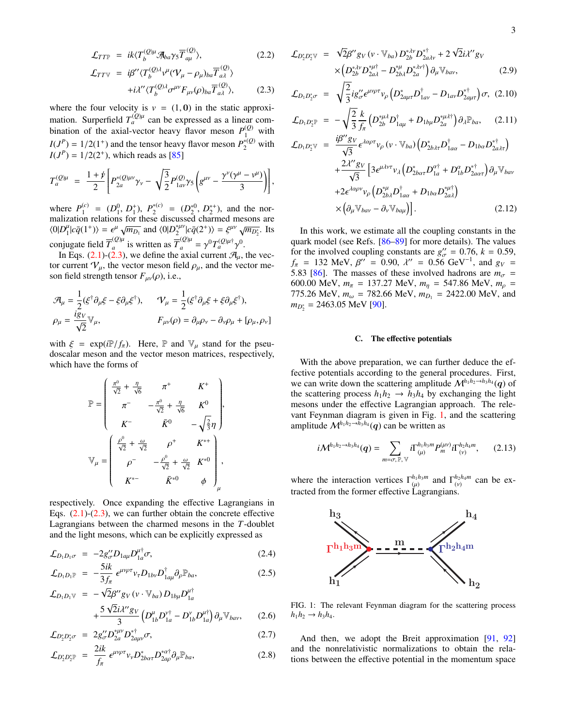$$
\mathcal{L}_{TT\mathbb{P}} = ik \langle T_b^{(Q)\mu} \mathcal{A}_{ba} \gamma_5 \overline{T}_{a\mu}^{(Q)} \rangle, \tag{2.2}
$$
\n
$$
\mathcal{L}_{TTV} = i\beta'' \langle T_b^{(Q)\lambda} v^{\mu} (\mathcal{V}_{\mu} - \rho_{\mu})_{ba} \overline{T}_{a\lambda}^{(Q)} \rangle
$$
\n
$$
+ i\lambda'' \langle T_b^{(Q)\lambda} \sigma^{\mu\nu} F_{\mu\nu}(\rho)_{ba} \overline{T}_{a\lambda}^{(Q)} \rangle, \tag{2.3}
$$

where the four velocity is  $v = (1, 0)$  in the static approximation. Surperfield  $T_a^{(Q)\mu}$  can be expressed as a linear combination of the axial-vector heavy flavor meson  $P_{1}^{(Q)}$  with  $I(J^P) = 1/2(1^+)$  and the tensor heavy flavor meson  $P_2^{*(Q)}$  with  $I(J^P) = 1/2(2^+)$  which reads as [85]  $I(J^P) = 1/2(2^+)$ , which reads as [\[85\]](#page-10-10)

$$
T_a^{(Q)\mu} = \frac{1+\cancel{p}}{2} \left[ P_{2a}^{*(Q)\mu\nu} \gamma_{\nu} - \sqrt{\frac{3}{2}} P_{1a\nu}^{(Q)} \gamma_5 \left( g^{\mu\nu} - \frac{\gamma^{\nu} (\gamma^{\mu} - \nu^{\mu})}{3} \right) \right],
$$

where  $P_1^{(c)}$  $P_1^{(c)} = (D_1^0, D_1^+)$ ,  $P_2^{*(c)}$ <br>no relations for these of <sup>\*(c)</sup> =  $(D_2^{*0}, D_2^{*+})$ , and the nor-<br>rediscussed charmed mesons are malization relations for these discussed charmed mesons are  $\langle 0|D_1^{\mu}|c\bar{q}(1^+) \rangle = \epsilon^{\mu} \sqrt{m_{D_1}}$  and  $\langle 0|D_2^{\mu\nu}|c\bar{q}(2^+) \rangle = \xi^{\mu\nu} \sqrt{m_{D_2^*}}$ . Its<br> $-\langle 0 \rangle_{\mu}$   $-\langle 0 \rangle_{\mu}$   $-\langle 0 \rangle_{\mu}$   $\langle 0 \rangle_{\mu}$   $\langle 0 \rangle_{\nu}$   $\langle 0 \rangle_{\nu}$   $\langle 0 \rangle_{\nu}$ 2 conjugate field  $\overline{T}_a^{(Q)\mu}$  is written as  $\overline{T}_a^{(Q)\mu} = \gamma^0 T_a^{(Q)\mu\dagger} \gamma^0$ .<br>In Fos. (2, 1)-(2, 3), we define the axial current  $\mathcal{A}$ .

In Eqs. [\(2.1\)](#page-1-2)-[\(2.3\)](#page-1-2), we define the axial current  $\mathcal{A}_{\mu}$ , the vec-<br>courrent  $\Omega_{\mu}$ , the vector meson field a send the vector me tor current  $V_{\mu}$ , the vector meson field  $\rho_{\mu}$ , and the vector meson field strength tensor  $F_{\mu\nu}(\rho)$ , i.e.,

$$
\begin{aligned}\n\mathcal{A}_{\mu} &= \frac{1}{2} (\xi^{\dagger} \partial_{\mu} \xi - \xi \partial_{\mu} \xi^{\dagger}), \qquad \mathcal{V}_{\mu} = \frac{1}{2} (\xi^{\dagger} \partial_{\mu} \xi + \xi \partial_{\mu} \xi^{\dagger}), \\
\rho_{\mu} &= \frac{i g_V}{\sqrt{2}} \mathbb{V}_{\mu}, \qquad \qquad F_{\mu\nu}(\rho) = \partial_{\mu} \rho_{\nu} - \partial_{\nu} \rho_{\mu} + [\rho_{\mu}, \rho_{\nu}]\n\end{aligned}
$$

with  $\xi = \exp(iP/f_\pi)$ . Here, P and  $\nabla_\mu$  stand for the pseudoscalar meson and the vector meson matrices, respectively, which have the forms of

$$
\mathbb{P} = \begin{pmatrix} \frac{\pi^0}{\sqrt{2}} + \frac{\eta}{\sqrt{6}} & \pi^+ & K^+ \\ \pi^- & -\frac{\pi^0}{\sqrt{2}} + \frac{\eta}{\sqrt{6}} & K^0 \\ K^- & \bar{K}^0 & -\sqrt{\frac{2}{3}}\eta \end{pmatrix},
$$

$$
\mathbb{V}_{\mu} = \begin{pmatrix} \frac{\rho^0}{\sqrt{2}} + \frac{\omega}{\sqrt{2}} & \rho^+ & K^{*+} \\ \rho^- & -\frac{\rho^0}{\sqrt{2}} + \frac{\omega}{\sqrt{2}} & K^{*0} \\ K^{*-} & \bar{K}^{*0} & \phi \end{pmatrix},
$$

respectively. Once expanding the effective Lagrangians in Eqs.  $(2.1)$ - $(2.3)$ , we can further obtain the concrete effective Lagrangians between the charmed mesons in the *T*-doublet and the light mesons, which can be explicitly expressed as

$$
\mathcal{L}_{D_1 D_1 \sigma} = -2g_{\sigma}^{\prime\prime} D_{1a\mu} D_{1a}^{\mu \dagger} \sigma, \tag{2.4}
$$

$$
\mathcal{L}_{D_1 D_1 \mathbb{P}} = -\frac{5ik}{3f_\pi} \epsilon^{\mu\nu\rho\tau} v_\tau D_{1b\nu} D_{1a\mu}^\dagger \partial_\rho \mathbb{P}_{ba}, \tag{2.5}
$$

$$
\mathcal{L}_{D_1 D_1 \mathbb{V}} = -\sqrt{2} \beta'' g_V (v \cdot \mathbb{V}_{ba}) D_{1b\mu} D_{1a}^{\mu \dagger} \n+ \frac{5 \sqrt{2} i \lambda'' g_V}{3} \left( D_{1b}^{\mu} D_{1a}^{\nu \dagger} - D_{1b}^{\nu} D_{1a}^{\mu \dagger} \right) \partial_{\mu} \mathbb{V}_{bav},
$$
\n(2.6)

$$
\mathcal{L}_{D_2^* D_2^* \sigma} = 2g''_{\sigma} D_{2a}^{*\mu \nu} D_{2a\mu \nu}^{*\dagger} \sigma, \tag{2.7}
$$

$$
\mathcal{L}_{D_2^* D_2^* \mathbb{P}} = \frac{2ik}{f_\pi} \epsilon^{\mu \nu \rho \tau} \nu_\nu D_{2b\alpha\tau}^* D_{2a\rho}^{*\alpha \dagger} \partial_\mu \mathbb{P}_{ba}, \tag{2.8}
$$

$$
\mathcal{L}_{D_2^* D_2^* V} = \sqrt{2} \beta'' g_V (v \cdot \mathbb{V}_{ba}) D_{2b}^{* \lambda v} D_{2a\lambda v}^{* \dagger} + 2 \sqrt{2} i \lambda'' g_V \times \left( D_{2b}^{* \lambda v} D_{2a\lambda}^{* \mu \dagger} - D_{2b\lambda}^{* \mu \dagger} D_{2a}^{* \lambda v \dagger} \right) \partial_\mu \mathbb{V}_{bav},
$$
\n(2.9)

$$
\mathcal{L}_{D_1 D_2^* \sigma} = \sqrt{\frac{2}{3}} i g^{\prime\prime}_{\sigma} \epsilon^{\mu\nu\rho\tau} v_{\rho} \left( D_{2\alpha\mu\tau}^* D_{1\alpha\nu}^\dagger - D_{1\alpha\nu} D_{2\alpha\mu\tau}^{* \dagger} \right) \sigma, \quad (2.10)
$$

$$
\mathcal{L}_{D_1 D_2^{\ast \mathbb{P}}} = -\sqrt{\frac{2}{3}} \frac{k}{f_\pi} \left( D_{2b}^{\ast \mu \lambda} D_{1a\mu}^\dagger + D_{1b\mu} D_{2a}^{\ast \mu \lambda \dagger} \right) \partial_\lambda \mathbb{P}_{ba}, \quad (2.11)
$$

$$
\mathcal{L}_{D_1 D_2^* \mathbb{V}} = \frac{i \beta'' g_V}{\sqrt{3}} \epsilon^{\lambda \alpha \rho \tau} v_{\rho} (v \cdot \mathbb{V}_{ba}) \left( D_{2b\lambda\tau}^* D_{1a\alpha}^\dagger - D_{1ba} D_{2a\lambda\tau}^{* \dagger} \right) \n+ \frac{2 \lambda'' g_V}{\sqrt{3}} \left[ 3 \epsilon^{\mu \lambda \nu \tau} v_{\lambda} \left( D_{2b\alpha\tau}^* D_{1a}^{\alpha \dagger} + D_{1b}^{\alpha} D_{2a\alpha\tau}^{* \dagger} \right) \partial_{\mu} \mathbb{V}_{ba\nu} \right. \n+ 2 \epsilon^{\lambda \alpha \rho \nu} v_{\rho} \left( D_{2b\lambda}^{*\mu} D_{1a\alpha}^\dagger + D_{1ba} D_{2a\lambda}^{*\mu \dagger} \right) \n\times \left( \partial_{\mu} \mathbb{V}_{ba\nu} - \partial_{\nu} \mathbb{V}_{ba\mu} \right) \right].
$$
\n(2.12)

In this work, we estimate all the coupling constants in the quark model (see Refs. [\[86–](#page-10-11)[89\]](#page-10-12) for more details). The values for the involved coupling constants are  $g'' = 0.76$ ,  $k = 0.59$ ,  $f = 132$  MeV  $g'' = 0.90$   $d'' = 0.56$  GeV<sup>-1</sup> and  $g'' = 0.76$  $f_{\pi} = 132$  MeV,  $\beta'' = 0.90$ ,  $\lambda'' = 0.56$  GeV<sup>-1</sup>, and  $g_V = 5.83$  [86]. The masses of these involved hadrons are  $m =$ 5.83 [\[86\]](#page-10-11). The masses of these involved hadrons are  $m_{\sigma}$  = 600.00 MeV,  $m_{\pi}$  = 137.27 MeV,  $m_{\eta}$  = 547.86 MeV,  $m_{\rho}$  = 775.26 MeV,  $m_{\omega}$  = 782.66 MeV,  $m_{D_1}$  = 2422.00 MeV, and  $m_{D_2^*} = 2463.05$  MeV [\[90\]](#page-10-13).

#### C. The effective potentials

With the above preparation, we can further deduce the effective potentials according to the general procedures. First, we can write down the scattering amplitude  $\mathcal{M}^{h_1h_2 \rightarrow h_3h_4}(\boldsymbol{q})$  of the scattering process  $h_1 h_2 \rightarrow h_3 h_4$  by exchanging the light mesons under the effective Lagrangian approach. The relevant Feynman diagram is given in Fig. [1,](#page-2-0) and the scattering amplitude  $\mathcal{M}^{h_1 h_2 \to \bar{h}_3 h_4}(\boldsymbol{q})$  can be written as

$$
i\mathcal{M}^{h_1h_2 \to h_3h_4}(\boldsymbol{q}) = \sum_{m = \sigma, \mathbb{P}, \mathbb{V}} i\Gamma^{h_1h_3m}_{(\mu)} P_m^{(\mu\nu)} i\Gamma^{h_2h_4m}_{(\nu)}, \qquad (2.13)
$$

where the interaction vertices  $\Gamma^{h_1 h_3 m}_{(n)}$  and  $\Gamma^{h_2 h_4 m}_{(n)}$ where the interaction vertices  $I_{(\mu)}$  and  $I_{(\nu)}$ <br>tracted from the former effective Lagrangians.  $\frac{n_2 n_4 m}{(v)}$  can be ex-



<span id="page-2-0"></span>FIG. 1: The relevant Feynman diagram for the scattering process  $h_1h_2 \rightarrow h_3h_4.$ 

And then, we adopt the Breit approximation [\[91,](#page-10-14) [92\]](#page-10-15) and the nonrelativistic normalizations to obtain the relations between the effective potential in the momentum space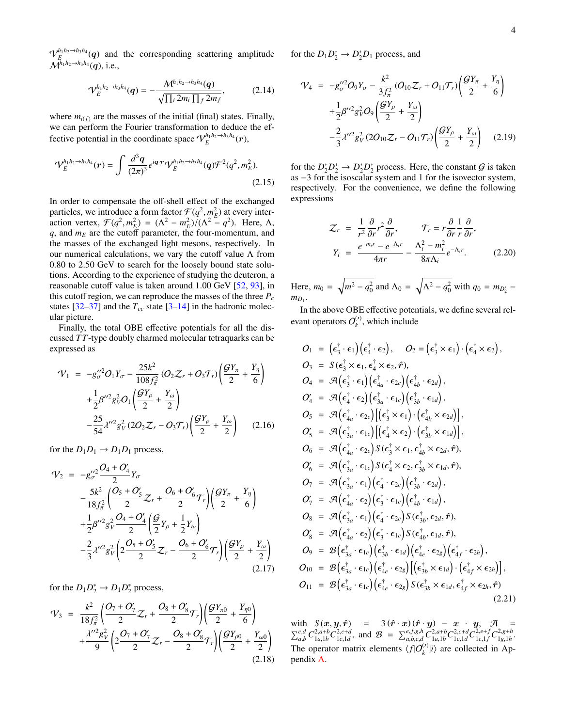$\mathcal{V}_E^{h_1 h_2 \to h_3 h_4} (q)$  and the corresponding scattering amplitude  $\mathcal{M}^{h_1 h_2 \to h_3 h_4}(\mathbf{q})$ , i.e.,

$$
\mathcal{V}_{E}^{h_1 h_2 \to h_3 h_4}(\mathbf{q}) = -\frac{\mathcal{M}^{h_1 h_2 \to h_3 h_4}(\mathbf{q})}{\sqrt{\prod_i 2m_i \prod_f 2m_f}},
$$
(2.14)

where  $m_{i(f)}$  are the masses of the initial (final) states. Finally, we can perform the Fourier transformation to deduce the effective potential in the coordinate space  $\mathcal{V}_E^{h_1 h_2 \to h_3 h_4}(\boldsymbol{r}),$ 

$$
\mathcal{V}_{E}^{h_1h_2 \to h_3h_4}(r) = \int \frac{d^3q}{(2\pi)^3} e^{iq \cdot r} \mathcal{V}_{E}^{h_1h_2 \to h_3h_4}(q) \mathcal{F}^2(q^2, m_E^2).
$$
\n(2.15)

In order to compensate the off-shell effect of the exchanged particles, we introduce a form factor  $\mathcal{F}(q^2, m_E^2)$  at every inter-<br>action vertex  $\mathcal{F}(q^2, m^2) = (\Lambda^2 - m^2)/(\Lambda^2 - q^2)$ . Here  $\Lambda$ particles, we informed a form ractor  $f(q^2, m_E^2)$  at every inter-<br>action vertex,  $\mathcal{F}(q^2, m_E^2) = (\Lambda^2 - m_E^2)/(\Lambda^2 - q^2)$ . Here,  $\Lambda$ ,<br>*a* and  $m_E$  are the cutoff parameter the four-momentum and *q*, and *m<sup>E</sup>* are the cutoff parameter, the four-momentum, and the masses of the exchanged light mesons, respectively. In our numerical calculations, we vary the cutoff value  $\Lambda$  from 0.80 to 2.50 GeV to search for the loosely bound state solutions. According to the experience of studying the deuteron, a reasonable cutoff value is taken around 1.00 GeV [\[52,](#page-9-6) [93\]](#page-10-16), in this cutoff region, we can reproduce the masses of the three  $P_c$ states  $[32-37]$  $[32-37]$  and the  $T_{cc}$  state  $[3-14]$  $[3-14]$  in the hadronic molecular picture.

Finally, the total OBE effective potentials for all the discussed *T T*-type doubly charmed molecular tetraquarks can be expressed as

$$
\mathcal{V}_{1} = -g_{\sigma}^{\prime\prime 2} O_{1} Y_{\sigma} - \frac{25k^{2}}{108f_{\pi}^{2}} (O_{2} \mathcal{Z}_{r} + O_{3} \mathcal{T}_{r}) \left( \frac{\mathcal{G} Y_{\pi}}{2} + \frac{Y_{\eta}}{6} \right) \n+ \frac{1}{2} \beta^{\prime\prime 2} g_{\gamma}^{2} O_{1} \left( \frac{\mathcal{G} Y_{\rho}}{2} + \frac{Y_{\omega}}{2} \right) \n- \frac{25}{54} \lambda^{\prime\prime 2} g_{\gamma}^{2} (2O_{2} \mathcal{Z}_{r} - O_{3} \mathcal{T}_{r}) \left( \frac{\mathcal{G} Y_{\rho}}{2} + \frac{Y_{\omega}}{2} \right) \tag{2.16}
$$

for the  $D_1D_1 \rightarrow D_1D_1$  process,

$$
\mathcal{V}_2 = -g_{\sigma}^{\prime\prime 2} \frac{O_4 + O_4^{\prime}}{2} Y_{\sigma} \n- \frac{5k^2}{18f_{\pi}^2} \left( \frac{O_5 + O_5^{\prime}}{2} \mathcal{Z}_r + \frac{O_6 + O_6^{\prime}}{2} \mathcal{T}_r \right) \left( \frac{\mathcal{G}Y_{\pi}}{2} + \frac{Y_{\eta}}{6} \right) \n+ \frac{1}{2} \beta^{\prime\prime 2} g_V^2 \frac{O_4 + O_4^{\prime}}{2} \left( \frac{\mathcal{G}}{2} Y_{\rho} + \frac{1}{2} Y_{\omega} \right) \n- \frac{2}{3} \lambda^{\prime\prime 2} g_V^2 \left( 2 \frac{O_5 + O_5^{\prime}}{2} \mathcal{Z}_r - \frac{O_6 + O_6^{\prime}}{2} \mathcal{T}_r \right) \left( \frac{\mathcal{G}Y_{\rho}}{2} + \frac{Y_{\omega}}{2} \right)
$$
\n(2.17)

for the  $D_1 D_2^* \rightarrow D_1 D_2^*$  process,

$$
\mathcal{V}_3 = \frac{k^2}{18f_\pi^2} \left( \frac{O_7 + O_7'}{2} \mathcal{Z}_r + \frac{O_8 + O_8'}{2} \mathcal{T}_r \right) \left( \frac{\mathcal{G}Y_{\pi 0}}{2} + \frac{Y_{\eta 0}}{6} \right) + \frac{\lambda''^2 g_V^2}{9} \left( 2 \frac{O_7 + O_7'}{2} \mathcal{Z}_r - \frac{O_8 + O_8'}{2} \mathcal{T}_r \right) \left( \frac{\mathcal{G}Y_{\rho 0}}{2} + \frac{Y_{\omega 0}}{2} \right) \tag{2.18}
$$

for the  $D_1 D_2^* \to D_2^* D_1$  process, and

$$
\mathcal{V}_{4} = -g_{\sigma}^{\prime\prime 2} O_{9} Y_{\sigma} - \frac{k^{2}}{3 f_{\pi}^{2}} (O_{10} \mathcal{Z}_{r} + O_{11} \mathcal{T}_{r}) \left( \frac{\mathcal{G} Y_{\pi}}{2} + \frac{Y_{\eta}}{6} \right) \n+ \frac{1}{2} \beta^{\prime\prime 2} g_{V}^{2} O_{9} \left( \frac{\mathcal{G} Y_{\rho}}{2} + \frac{Y_{\omega}}{2} \right) \n- \frac{2}{3} \lambda^{\prime\prime 2} g_{V}^{2} (2 O_{10} \mathcal{Z}_{r} - O_{11} \mathcal{T}_{r}) \left( \frac{\mathcal{G} Y_{\rho}}{2} + \frac{Y_{\omega}}{2} \right) \quad (2.19)
$$

for the  $D_2^* D_2^* \to D_2^* D_2^*$  process. Here, the constant  $G$  is taken as −3 for the isoscalar system and 1 for the isovector system, respectively. For the convenience, we define the following expressions

$$
\mathcal{Z}_r = \frac{1}{r^2} \frac{\partial}{\partial r} r^2 \frac{\partial}{\partial r}, \qquad \mathcal{T}_r = r \frac{\partial}{\partial r} \frac{1}{r} \frac{\partial}{\partial r},
$$
\n
$$
Y_i = \frac{e^{-m_i r} - e^{-\Lambda_i r}}{4\pi r} - \frac{\Lambda_i^2 - m_i^2}{8\pi \Lambda_i} e^{-\Lambda_i r}.
$$
\n(2.20)

Here,  $m_0 = \sqrt{m^2 - q_0^2}$  and  $\Lambda_0 = \sqrt{\Lambda^2 - q_0^2}$  with  $q_0 = m_{D_2^*}$  $m_{D_1}$ .

In the above OBE effective potentials, we define several relevant operators  $O_k^{(\prime)}$  $\binom{V}{k}$ , which include

$$
O_{1} = (\epsilon_{3}^{\dagger} \cdot \epsilon_{1})(\epsilon_{4}^{\dagger} \cdot \epsilon_{2}), \quad O_{2} = (\epsilon_{3}^{\dagger} \times \epsilon_{1}) \cdot (\epsilon_{4}^{\dagger} \times \epsilon_{2}),
$$
\n
$$
O_{3} = S(\epsilon_{3}^{\dagger} \times \epsilon_{1}, \epsilon_{4}^{\dagger} \times \epsilon_{2}, \hat{r}),
$$
\n
$$
O_{4} = \mathcal{A}(\epsilon_{3}^{\dagger} \cdot \epsilon_{1})(\epsilon_{4a}^{\dagger} \cdot \epsilon_{2c})(\epsilon_{4b}^{\dagger} \cdot \epsilon_{2d}),
$$
\n
$$
O'_{4} = \mathcal{A}(\epsilon_{4}^{\dagger} \cdot \epsilon_{2})(\epsilon_{3a}^{\dagger} \cdot \epsilon_{1c})(\epsilon_{3b}^{\dagger} \cdot \epsilon_{1d}),
$$
\n
$$
O_{5} = \mathcal{A}(\epsilon_{4a}^{\dagger} \cdot \epsilon_{2c})[(\epsilon_{3}^{\dagger} \times \epsilon_{1}) \cdot (\epsilon_{4b}^{\dagger} \times \epsilon_{2d})],
$$
\n
$$
O'_{5} = \mathcal{A}(\epsilon_{4a}^{\dagger} \cdot \epsilon_{2c})(\epsilon_{4}^{\dagger} \times \epsilon_{2}) \cdot (\epsilon_{3b}^{\dagger} \times \epsilon_{1d}),
$$
\n
$$
O_{6} = \mathcal{A}(\epsilon_{4a}^{\dagger} \cdot \epsilon_{2c}) S(\epsilon_{3}^{\dagger} \times \epsilon_{1}, \epsilon_{4b}^{\dagger} \times \epsilon_{2d}, \hat{r}),
$$
\n
$$
O'_{6} = \mathcal{A}(\epsilon_{3a}^{\dagger} \cdot \epsilon_{1c})(\epsilon_{4}^{\dagger} \cdot \epsilon_{2c})(\epsilon_{3b}^{\dagger} \cdot \epsilon_{1d}),
$$
\n
$$
O_{7} = \mathcal{A}(\epsilon_{3a}^{\dagger} \cdot \epsilon_{1})(\epsilon_{4}^{\dagger} \cdot \epsilon_{2c})(\epsilon_{3b}^{\dagger} \cdot \epsilon_{2d}),
$$
\n
$$
O'_{7} = \mathcal{A}(\epsilon_{4a}^{\dagger} \cdot \epsilon_{2})(\epsilon_{4}^{\dagger} \cdot \epsilon_{2c})(\epsilon_{4b}^{\dagger} \cdot \epsilon_{
$$

with  $S(\mathbf{x}, \mathbf{y}, \hat{\mathbf{r}})$  =  $3(\hat{\mathbf{r}} \cdot \mathbf{x})(\hat{\mathbf{r}} \cdot \mathbf{y}) - \mathbf{x} \cdot \mathbf{y}$ ,  $\mathcal{A}$  =  $\sum_{a,b}^{c,d} C_{1a,1b}^{2,a+b} C_{1c,1d}^{2,c+d}$ , and  $\mathcal{B} = \sum_{a,b,c,d}^{e,f,g,h} C_{1c,1b}^{2,a+b} C_{1c,1d}^{2,e+f} C_{1g,1h}^{2,g+h}$  $\mathcal{L}_{a,b,c,d}^{e,f,g,h} C_{1a,1b}^{2,a+b} C_{1c,1d}^{2,c+d} C_{1e,1f}^{2,e+f}$  $^{2,e+f}_{1e,1f}C^{2,g+h}_{1g,1h}$ <sup>1</sup>*g*,1*<sup>h</sup>* . The operator matrix elements  $\langle f | O^{(r)}_k | i \rangle$  are collected in Appendix [A.](#page-7-13)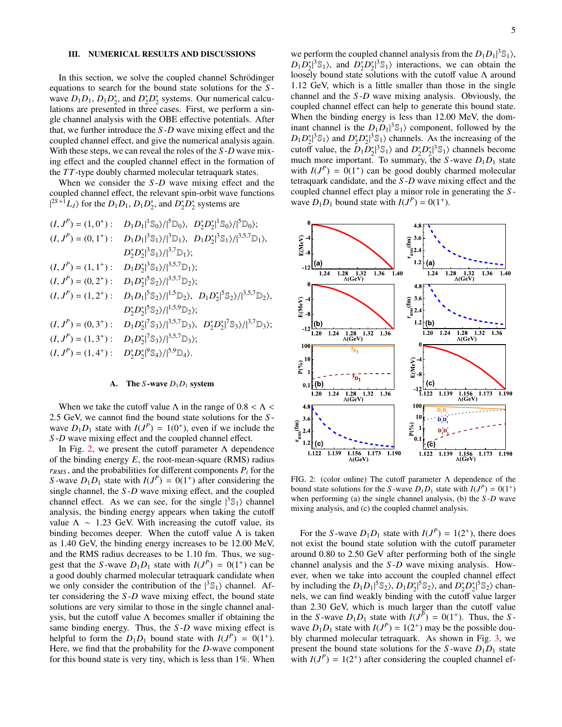#### <span id="page-4-0"></span>III. NUMERICAL RESULTS AND DISCUSSIONS

In this section, we solve the coupled channel Schrödinger equations to search for the bound state solutions for the *S* wave  $D_1D_1$ ,  $D_1D_2^*$ , and  $D_2^*D_2^*$  systems. Our numerical calculations are presented in three cases. First, we perform a single channel analysis with the OBE effective potentials. After that, we further introduce the *S* -*D* wave mixing effect and the coupled channel effect, and give the numerical analysis again. With these steps, we can reveal the roles of the *S* -*D* wave mixing effect and the coupled channel effect in the formation of the *T T*-type doubly charmed molecular tetraquark states.

When we consider the *S*-*D* wave mixing effect and the coupled channel effect, the relevant spin-orbit wave functions  $|^{2S+1}L_J\rangle$  for the  $D_1D_1$ ,  $D_1D_2^*$ , and  $D_2^*D_2^*$  systems are

$$
(I, J^{P}) = (1, 0^{+}) : D_{1}D_{1}|^{1}S_{0}\rangle/|^{5}D_{0}\rangle, D_{2}^{*}D_{2}^{*}|^{1}S_{0}\rangle/|^{5}D_{0}\rangle;
$$
  
\n
$$
(I, J^{P}) = (0, 1^{+}) : D_{1}D_{1}|^{3}S_{1}\rangle/|^{3}D_{1}\rangle, D_{1}D_{2}^{*}|^{3}S_{1}\rangle/|^{3,5,7}D_{1}\rangle,
$$
  
\n
$$
D_{2}^{*}D_{2}^{*}|^{3}S_{1}\rangle/|^{3,5,7}D_{1}\rangle;
$$
  
\n
$$
(I, J^{P}) = (1, 1^{+}) : D_{1}D_{2}^{*}|^{3}S_{1}\rangle/|^{3,5,7}D_{1}\rangle;
$$
  
\n
$$
(I, J^{P}) = (0, 2^{+}) : D_{1}D_{2}^{*}|^{5}S_{2}\rangle/|^{3,5,7}D_{2}\rangle;
$$
  
\n
$$
(I, J^{P}) = (1, 2^{+}) : D_{1}D_{1}|^{5}S_{2}\rangle/|^{1,5}D_{2}\rangle, D_{1}D_{2}^{*}|^{5}S_{2}\rangle/|^{3,5,7}D_{2}\rangle,
$$
  
\n
$$
D_{2}^{*}D_{2}^{*}|^{5}S_{2}\rangle/|^{1,5,9}D_{2}\rangle;
$$
  
\n
$$
(I, J^{P}) = (0, 3^{+}) : D_{1}D_{2}^{*}|^{7}S_{3}\rangle/|^{3,5,7}D_{3}\rangle, D_{2}^{*}D_{2}^{*}|^{7}S_{3}\rangle/|^{3,7}D_{3}\rangle;
$$
  
\n
$$
(I, J^{P}) = (1, 3^{+}) : D_{1}D_{2}^{*}|^{7}S_{3}\rangle/|^{3,5,7}D_{3}\rangle;
$$
  
\n
$$
(I, J^{P}) = (1, 4^{+}) : D_{2}^{*}D_{2}^{*}|^{9}S_{4}\rangle/|^{5,9}D_{4}\rangle.
$$

#### A. The *S*-wave  $D_1D_1$  system

When we take the cutoff value  $\Lambda$  in the range of  $0.8 < \Lambda <$ <sup>2</sup>.5 GeV, we cannot find the bound state solutions for the *<sup>S</sup>* wave  $D_1 D_1$  state with  $I(J^P) = 1(0^+)$ , even if we include the *S* -*D* wave mixing effect and the coupled channel effect.

In Fig. [2,](#page-4-1) we present the cutoff parameter  $\Lambda$  dependence of the binding energy *E*, the root-mean-square (RMS) radius  $r_{RMS}$ , and the probabilities for different components  $P_i$  for the *S*-wave  $D_1D_1$  state with  $I(J^P) = 0(1^+)$  after considering the single channel, the *S* -*D* wave mixing effect, and the coupled channel effect. As we can see, for the single  $|{}^{3}S_{1}\rangle$  channel analysis, the binding energy appears when taking the cutoff value  $\Lambda \sim 1.23$  GeV. With increasing the cutoff value, its binding becomes deeper. When the cutoff value  $\Lambda$  is taken as 1.40 GeV, the binding energy increases to be 12.00 MeV, and the RMS radius decreases to be 1.10 fm. Thus, we suggest that the *S*-wave  $D_1D_1$  state with  $I(J^P) = O(1^+)$  can be a good doubly charmed molecular tetraquark candidate when we only consider the contribution of the  $|{}^{3}S_{1}\rangle$  channel. After considering the *S* -*D* wave mixing effect, the bound state solutions are very similar to those in the single channel analysis, but the cutoff value  $\Lambda$  becomes smaller if obtaining the same binding energy. Thus, the *S* -*D* wave mixing effect is helpful to form the  $D_1D_1$  bound state with  $I(J^P) = 0(1^+)$ . Here, we find that the probability for the *D*-wave component for this bound state is very tiny, which is less than 1%. When

we perform the coupled channel analysis from the  $D_1D_1|^3\mathcal{S}_1$ ,  $D_1 D_2^* \{3} \mathbb{S}_1$ , and  $D_2^* D_2^* \{3} \mathbb{S}_1$  interactions, we can obtain the loosely bound state solutions with the cutoff value Λ around 1.12 GeV, which is a little smaller than those in the single channel and the *S* -*D* wave mixing analysis. Obviously, the coupled channel effect can help to generate this bound state. When the binding energy is less than 12.00 MeV, the dominant channel is the  $D_1D_1|^3\mathcal{S}_1$  component, followed by the  $D_1 D_2^*$ <sup>3</sup>S<sub>1</sub></sub> and  $D_2^* D_2^*$ <sup>3</sup>S<sub>1</sub></sub> channels. As the increasing of the cutoff value, the  $D_1 D_2^* \{3} \mathbb{S}_1$  and  $D_2^* D_2^* \{3} \mathbb{S}_1$  channels become much more important. To summary, the  $S$ -wave  $D_1D_1$  state with  $I(J^P) = 0(1^+)$  can be good doubly charmed molecular tetraquark candidate, and the *S* -*D* wave mixing effect and the coupled channel effect play a minor role in generating the *S* wave  $D_1D_1$  bound state with  $I(J^P) = 0(1^+)$ .



<span id="page-4-1"></span>FIG. 2: (color online) The cutoff parameter Λ dependence of the bound state solutions for the *S*-wave  $D_1D_1$  state with  $I(J^P) = O(1^+)$ when performing (a) the single channel analysis, (b) the *S* -*D* wave mixing analysis, and (c) the coupled channel analysis.

For the *S*-wave  $D_1D_1$  state with  $I(J^P) = 1(2^+)$ , there does not exist the bound state solution with the cutoff parameter around 0.80 to 2.50 GeV after performing both of the single channel analysis and the *S* -*D* wave mixing analysis. However, when we take into account the coupled channel effect by including the  $D_1D_1|^5$  \$2),  $D_1D_2^*|^5$  \$2), and  $D_2^*D_2^*|^5$  \$2) chan-| nels, we can find weakly binding with the cutoff value larger than 2.30 GeV, which is much larger than the cutoff value in the *S*-wave  $D_1D_1$  state with  $I(J^P) = 0(1^+)$ . Thus, the *S*wave  $D_1 D_1$  state with  $I(J^P) = 1(2^+)$  may be the possible doubly charmed molecular tetraquark. As shown in Fig. [3,](#page-5-0) we present the bound state solutions for the *S*-wave  $D_1D_1$  state with  $I(J^P) = 1(2^+)$  after considering the coupled channel ef-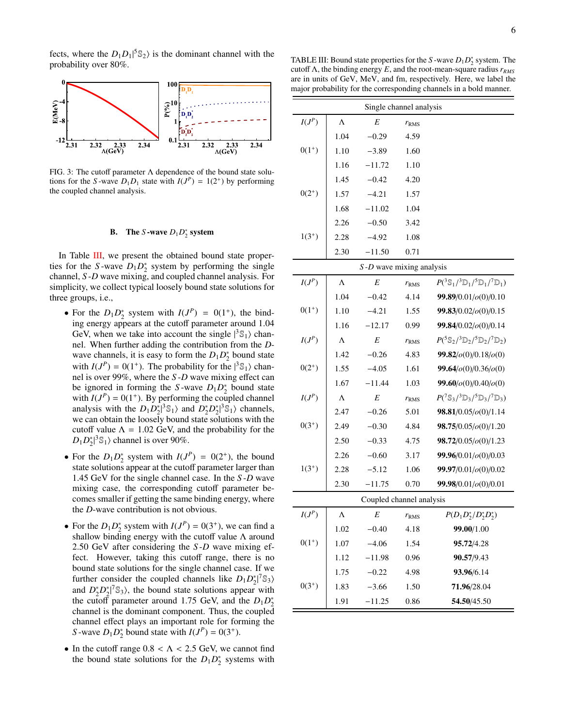fects, where the  $D_1 D_1 |^5 \mathbb{S}_2$  is the dominant channel with the probability over 80%.



<span id="page-5-0"></span>FIG. 3: The cutoff parameter  $\Lambda$  dependence of the bound state solutions for the *S*-wave  $D_1D_1$  state with  $I(J^P) = 1(2^+)$  by performing the coupled channel analysis.

# **B.** The *S*-wave  $D_1 D_2^*$  system

In Table [III,](#page-5-1) we present the obtained bound state properties for the *S*-wave  $D_1D_2^*$  system by performing the single channel, *S* -*D* wave mixing, and coupled channel analysis. For simplicity, we collect typical loosely bound state solutions for three groups, i.e.,

- For the  $D_1 D_2^*$  system with  $I(J^P) = 0(1^+)$ , the binding energy appears at the cutoff parameter around 1.04 GeV, when we take into account the single  $|{}^{3}S_{1}\rangle$  channel. When further adding the contribution from the *D*wave channels, it is easy to form the  $D_1D_2^*$  bound state with  $I(J^P) = 0(1^+)$ . The probability for the  $|{}^3\mathbb{S}_1\rangle$  channel is over 99%, where the *S* -*D* wave mixing effect can be ignored in forming the *S*-wave  $D_1D_2^*$  bound state with  $I(J^P) = 0(1^+)$ . By performing the coupled channel analysis with the  $D_1 D_2^* \beta^3 \mathbb{S}_1$  and  $D_2^* D_2^* \beta^3 \mathbb{S}_1$  channels, | | we can obtain the loosely bound state solutions with the cutoff value  $\Lambda = 1.02$  GeV, and the probability for the  $D_1 D_2^* |^3 \mathbb{S}_1$  channel is over 90%. |
- For the  $D_1 D_2^*$  system with  $I(J^P) = 0(2^+)$ , the bound state solutions appear at the cutoff parameter larger than 1.45 GeV for the single channel case. In the *S* -*D* wave mixing case, the corresponding cutoff parameter becomes smaller if getting the same binding energy, where the *D*-wave contribution is not obvious.
- For the  $D_1 D_2^*$  system with  $I(J^P) = 0(3^+)$ , we can find a shallow binding energy with the cutoff value  $\Lambda$  around 2.50 GeV after considering the *S* -*D* wave mixing effect. However, taking this cutoff range, there is no bound state solutions for the single channel case. If we further consider the coupled channels like  $D_1 D_2^*$ <sup>7</sup> S<sub>3</sub></sub> and  $D_2^* D_2^*$ <sup> $\vert \mathcal{S}_3 \rangle$ , the bound state solutions appear with</sup> the cutoff parameter around 1.75 GeV, and the  $D_1 D_2^*$ channel is the dominant component. Thus, the coupled channel effect plays an important role for forming the *S*-wave  $D_1 D_2^*$  bound state with  $I(J^P) = 0(3^+)$ .
- In the cutoff range  $0.8 < \Lambda < 2.5$  GeV, we cannot find the bound state solutions for the  $D_1D_2^*$  systems with

6

<span id="page-5-1"></span>TABLE III: Bound state properties for the *S*-wave  $D_1 D_2^*$  system. The cutoff Λ, the binding energy *E*, and the root-mean-square radius *rRMS* are in units of GeV, MeV, and fm, respectively. Here, we label the major probability for the corresponding channels in a bold manner.

| Single channel analysis |           |                             |               |                                                                                          |  |  |
|-------------------------|-----------|-----------------------------|---------------|------------------------------------------------------------------------------------------|--|--|
| $I(J^P)$                | $\Lambda$ | E                           | $r_{RMS}$     |                                                                                          |  |  |
|                         | 1.04      | $-0.29$                     | 4.59          |                                                                                          |  |  |
| $0(1^{+})$              | 1.10      | $-3.89$                     | 1.60          |                                                                                          |  |  |
|                         | 1.16      | $-11.72$                    | 1.10          |                                                                                          |  |  |
|                         | 1.45      | $-0.42$                     | 4.20          |                                                                                          |  |  |
| $0(2^{+})$              | 1.57      | $-4.21$                     | 1.57          |                                                                                          |  |  |
|                         | 1.68      | $-11.02$                    | 1.04          |                                                                                          |  |  |
|                         | 2.26      | $-0.50$                     | 3.42          |                                                                                          |  |  |
| $1(3^{+})$              | 2.28      | $-4.92$                     | 1.08          |                                                                                          |  |  |
|                         | 2.30      | $-11.50$                    | 0.71          |                                                                                          |  |  |
|                         |           | $S$ -D wave mixing analysis |               |                                                                                          |  |  |
| $I(J^P)$                | Λ         | E                           | $r_{RMS}$     | $P({}^3\mathbb{S}_1/{}^3\mathbb{D}_1/{}^5\mathbb{D}_1/{}^7\mathbb{D}_1)$                 |  |  |
|                         | 1.04      | $-0.42$                     | 4.14          | 99.89/0.01/o(0)/0.10                                                                     |  |  |
| $0(1^{+})$              | 1.10      | $-4.21$                     | 1.55          | 99.83/0.02/o(0)/0.15                                                                     |  |  |
|                         | 1.16      | $-12.17$                    | 0.99          | 99.84/0.02/o(0)/0.14                                                                     |  |  |
| $I(J^P)$                | Λ         | E                           | $r_{RMS}$     | $P({}^{5}S_{2}/{}^{3}D_{2}/{}^{5}D_{2}/{}^{7}D_{2})$                                     |  |  |
|                         | 1.42      | $-0.26$                     | 4.83          | 99.82 / o(0) / 0.18 / o(0)                                                               |  |  |
| $0(2^{+})$              | 1.55      | $-4.05$                     | 1.61          | 99.64/ $o(0)$ /0.36/ $o(0)$                                                              |  |  |
|                         | 1.67      | $-11.44$                    | 1.03          | $99.60$ / $o(0)$ /0.40/ $o(0)$                                                           |  |  |
| $I(J^P)$                | Λ         | E                           | $r_{RMS}$     | $P({}^{7}\mathbb{S}_{3}/{}^{3}\mathbb{D}_{3}/{}^{5}\mathbb{D}_{3}/{}^{7}\mathbb{D}_{3})$ |  |  |
|                         | 2.47      | $-0.26$                     | 5.01          | $98.81/0.05$ / $o(0)/1.14$                                                               |  |  |
| $0(3^{+})$              | 2.49      | $-0.30$                     | 4.84          | $98.75/0.05/\rho(0)/1.20$                                                                |  |  |
|                         | 2.50      | $-0.33$                     | 4.75          | $98.72/0.05/\rho(0)/1.23$                                                                |  |  |
|                         | 2.26      | $-0.60$                     | 3.17          | 99.96/0.01/o(0)/0.03                                                                     |  |  |
| $1(3^{+})$              | 2.28      | $-5.12$                     | 1.06          | 99.97/0.01/o(0)/0.02                                                                     |  |  |
|                         | 2.30      | $-11.75$                    | 0.70          | 99.98/0.01/ $o(0)$ /0.01                                                                 |  |  |
|                         |           | Coupled channel analysis    |               |                                                                                          |  |  |
| $I(J^P)$                | Λ         | E                           | $r_{\rm RMS}$ | $P(D_1D_2^*/D_2^*D_2^*)$                                                                 |  |  |
|                         | 1.02      | $-0.40$                     | 4.18          | 99.00/1.00                                                                               |  |  |
| $0(1^{+})$              | 1.07      | $-4.06$                     | 1.54          | 95.72/4.28                                                                               |  |  |
|                         | 1.12      | $-11.98$                    | 0.96          | 90.57/9.43                                                                               |  |  |
|                         | 1.75      | $-0.22$                     | 4.98          | 93.96/6.14                                                                               |  |  |
| $0(3^{+})$              | 1.83      | $-3.66$                     | 1.50          | 71.96/28.04                                                                              |  |  |
|                         | 1.91      | $-11.25$                    | 0.86          | 54.50/45.50                                                                              |  |  |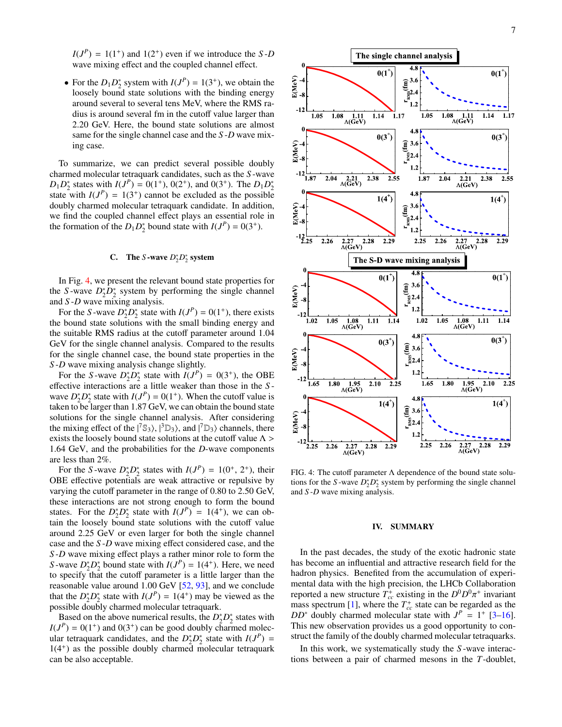$I(J^P) = 1(1^+)$  and  $I(2^+)$  even if we introduce the *S*-*D* wave mixing effect and the coupled channel effect.

• For the  $D_1 D_2^*$  system with  $I(J^P) = 1(3^+)$ , we obtain the loosely bound state solutions with the binding energy around several to several tens MeV, where the RMS radius is around several fm in the cutoff value larger than 2.20 GeV. Here, the bound state solutions are almost same for the single channel case and the *S* -*D* wave mixing case.

To summarize, we can predict several possible doubly charmed molecular tetraquark candidates, such as the *S* -wave  $D_1 D_2^*$  states with  $I(J^P) = 0(1^+), 0(2^+),$  and  $0(3^+)$ . The  $D_1 D_2^*$ state with  $I(J^P) = 1(3^+)$  cannot be excluded as the possible doubly charmed molecular tetraquark candidate. In addition, we find the coupled channel effect plays an essential role in the formation of the  $D_1 D_2^*$  bound state with  $I(J^P) = 0(3^+)$ .

# C. The *S*-wave  $D_2^* D_2^*$  system

In Fig. [4,](#page-6-1) we present the relevant bound state properties for the *S*-wave  $D_2^* D_2^*$  system by performing the single channel and *S* -*D* wave mixing analysis.

For the *S*-wave  $D_2^* D_2^*$  state with  $I(J^P) = 0(1^+)$ , there exists the bound state solutions with the small binding energy and the suitable RMS radius at the cutoff parameter around 1.04 GeV for the single channel analysis. Compared to the results for the single channel case, the bound state properties in the *S* -*D* wave mixing analysis change slightly.

For the *S*-wave  $D_2^* D_2^*$  state with  $I(J^P) = 0(3^+)$ , the OBE effective interactions are a little weaker than those in the *S* wave  $D_2^* D_2^*$  state with  $I(J^P) = 0(1^+)$ . When the cutoff value is taken to be larger than 1.87 GeV, we can obtain the bound state solutions for the single channel analysis. After considering the mixing effect of the  $|^{7} \mathbb{S}_{3}$ ,  $|^{3} \mathbb{D}_{3}$ , and  $|^{7} \mathbb{D}_{3}$  channels, there exists the loosely bound state solutions at the cutoff value  $\Lambda$  > <sup>1</sup>.64 GeV, and the probabilities for the *<sup>D</sup>*-wave components are less than 2%.

For the *S*-wave  $D_2^*D_2^*$  states with  $I(J^P) = 1(0^+, 2^+)$ , their<br>3E effective potentials are weak attractive or repulsive by OBE effective potentials are weak attractive or repulsive by varying the cutoff parameter in the range of 0.80 to 2.50 GeV, these interactions are not strong enough to form the bound states. For the  $D_2^* D_2^*$  state with  $I(J^P) = 1(4^+)$ , we can obtain the loosely bound state solutions with the cutoff value around 2.25 GeV or even larger for both the single channel case and the *S* -*D* wave mixing effect considered case, and the *S* -*D* wave mixing effect plays a rather minor role to form the *S*-wave  $D_2^* D_2^*$  bound state with  $I(J^P) = 1(4^+)$ . Here, we need to specify that the cutoff parameter is a little larger than the reasonable value around 1.00 GeV [\[52,](#page-9-6) [93\]](#page-10-16), and we conclude that the  $D_2^* D_2^*$  state with  $I(J^P) = 1(4^+)$  may be viewed as the possible doubly charmed molecular tetraquark.

Based on the above numerical results, the  $D_2^* D_2^*$  states with  $I(J<sup>P</sup>) = 0(1<sup>+</sup>)$  and  $0(3<sup>+</sup>)$  can be good doubly charmed molecular tetraquark candidates, and the  $D_2^* D_2^*$  state with  $I(J^P)$  = 1(4<sup>+</sup> ) as the possible doubly charmed molecular tetraquark can be also acceptable.



<span id="page-6-1"></span>FIG. 4: The cutoff parameter  $\Lambda$  dependence of the bound state solutions for the *S*-wave  $D_2^* D_2^*$  system by performing the single channel and *S* -*D* wave mixing analysis.

#### <span id="page-6-0"></span>IV. SUMMARY

In the past decades, the study of the exotic hadronic state has become an influential and attractive research field for the hadron physics. Benefited from the accumulation of experimental data with the high precision, the LHCb Collaboration reported a new structure  $T_{cc}^+$  existing in the  $D^0 D^0 \pi^+$  invariant  $\frac{1}{c}$  mass spectrum [\[1\]](#page-7-0), where the  $T_{cc}^+$  state can be regarded as the  $DD^*$  doubly charmed molecular state with  $J^P = 1^+$  [\[3](#page-7-2)[–16\]](#page-7-3). This new observation provides us a good opportunity to construct the family of the doubly charmed molecular tetraquarks.

In this work, we systematically study the *S* -wave interactions between a pair of charmed mesons in the *T*-doublet,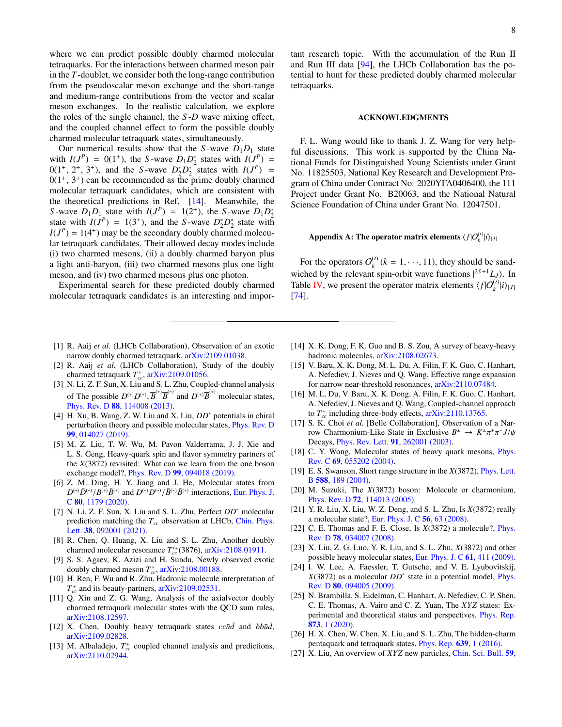where we can predict possible doubly charmed molecular tetraquarks. For the interactions between charmed meson pair in the *T*-doublet, we consider both the long-range contribution from the pseudoscalar meson exchange and the short-range and medium-range contributions from the vector and scalar meson exchanges. In the realistic calculation, we explore the roles of the single channel, the *S* -*D* wave mixing effect, and the coupled channel effect to form the possible doubly charmed molecular tetraquark states, simultaneously.

Our numerical results show that the *S*-wave  $D_1D_1$  state with  $I(J^P) = 0(1^+)$ , the *S*-wave  $D_1 D_2^*$  states with  $I(J^P) =$  $0(1^+, 2^+, 3^+)$ , and the *S*-wave  $D_2^* D_2^*$  states with  $I(J^P) = 0(1^+, 3^+)$  can be recommended as the prime doubly charmed  $0(1^+, 3^+)$  can be recommended as the prime doubly charmed<br>molecular tetraquark candidates, which are consistent with molecular tetraquark candidates, which are consistent with the theoretical predictions in Ref. [\[14\]](#page-7-9). Meanwhile, the *S*-wave  $D_1 D_1$  state with  $I(J^P) = 1(2^+)$ , the *S*-wave  $D_1 D_2^*$ state with  $I(J^P) = 1(3^+)$ , and the *S*-wave  $D_2^* D_2^*$  state with  $I(J<sup>P</sup>) = 1(4<sup>+</sup>)$  may be the secondary doubly charmed molecular tetraquark candidates. Their allowed decay modes include (i) two charmed mesons, (ii) a doubly charmed baryon plus a light anti-baryon, (iii) two charmed mesons plus one light meson, and (iv) two charmed mesons plus one photon.

Experimental search for these predicted doubly charmed molecular tetraquark candidates is an interesting and impor-

- <span id="page-7-0"></span>[1] R. Aaij et al. (LHCb Collaboration), Observation of an exotic narrow doubly charmed tetraquark, [arXiv:2109.01038.](https://arxiv.org/abs/2109.01038)
- <span id="page-7-1"></span>[2] R. Aaij *et al.* (LHCb Collaboration), Study of the doubly charmed tetraquark  $T_{cc}^+$ , [arXiv:2109.01056.](https://arxiv.org/abs/2109.01056)
- <span id="page-7-2"></span>[3] N. Li, Z. F. Sun, X. Liu and S. L. Zhu, Coupled-channel analysis of The possible  $D^{(*)}D^{(*)}, \overline{B}^{(*)}\overline{B}^{(*)}$  and  $D^{(*)}\overline{B}^{(*)}$  molecular states,<br>Phys. Rev. D.88, 114008 (2013) Phys. Rev. D 88[, 114008 \(2013\).](https://journals.aps.org/prd/abstract/10.1103/PhysRevD.88.114008)
- [4] H. Xu, B. Wang, Z. W. Liu and X. Liu, *DD*<sup>∗</sup> potentials in chiral perturbation theory and possible molecular states, [Phys. Rev. D](https://journals.aps.org/prd/abstract/10.1103/PhysRevD.99.014027) 99[, 014027 \(2019\).](https://journals.aps.org/prd/abstract/10.1103/PhysRevD.99.014027)
- <span id="page-7-11"></span>[5] M. Z. Liu, T. W. Wu, M. Pavon Valderrama, J. J. Xie and L. S. Geng, Heavy-quark spin and flavor symmetry partners of the *X*(3872) revisited: What can we learn from the one boson exchange model?, Phys. Rev. D 99[, 094018 \(2019\).](https://journals.aps.org/prd/abstract/10.1103/PhysRevD.98.114030)
- <span id="page-7-8"></span>[6] Z. M. Ding, H. Y. Jiang and J. He, Molecular states from *D*<sup>(∗)</sup>*D*<sup>(∗)</sup>*D*<sup>(\*)</sup>*D*<sup>(\*)</sup>*D*<sup>(\*)</sup>*D*<sup>(\*)</sup>/*B*<sup>(\*)</sup>*B*<sup>(\*)</sup> interactions, [Eur. Phys. J.](https://link.springer.com/article/10.1140%2Fepjc%2Fs10052-020-08754-6)<br>C 80 1179 (2020) C 80[, 1179 \(2020\).](https://link.springer.com/article/10.1140%2Fepjc%2Fs10052-020-08754-6)
- <span id="page-7-10"></span>[7] N. Li, Z. F. Sun, X. Liu and S. L. Zhu, Perfect *DD*<sup>∗</sup> molecular prediction matching the *Tcc* observation at LHCb, [Chin. Phys.](https://iopscience.iop.org/article/10.1088/0256-307X/38/9/092001) Lett. 38[, 092001 \(2021\).](https://iopscience.iop.org/article/10.1088/0256-307X/38/9/092001)
- <span id="page-7-12"></span>[8] R. Chen, Q. Huang, X. Liu and S. L. Zhu, Another doubly charmed molecular resonance  $T_{cc}^{+}(3876)$ , [arXiv:2108.01911.](https://arxiv.org/abs/2108.01911)
- [9] S. S. Agaev, K. Azizi and H. Sundu, Newly observed exotic doubly charmed meson  $T_{cc}^*$ ,  $arXiv:2108.00188$ .
- [10] H. Ren, F. Wu and R. Zhu, Hadronic molecule interpretation of  $T_{cc}^+$  and its beauty-partners,  $arXiv:2109.02531$ .
- [11] Q. Xin and Z. G. Wang, Analysis of the axialvector doubly charmed tetraquark molecular states with the QCD sum rules, [arXiv:2108.12597.](https://arxiv.org/pdf/2108.12597)
- [12] X. Chen, Doubly heavy tetraquark states  $cc\bar{u}\bar{d}$  and  $bb\bar{u}\bar{d}$ , [arXiv:2109.02828.](https://arxiv.org/pdf/2109.02828)
- [13] M. Albaladejo,  $T_{cc}^{+}$  coupled channel analysis and predictions, [arXiv:2110.02944.](https://arxiv.org/abs/2110.02944)

tant research topic. With the accumulation of the Run II and Run III data [\[94\]](#page-10-17), the LHCb Collaboration has the potential to hunt for these predicted doubly charmed molecular tetraquarks.

#### ACKNOWLEDGMENTS

F. L. Wang would like to thank J. Z. Wang for very helpful discussions. This work is supported by the China National Funds for Distinguished Young Scientists under Grant No. 11825503, National Key Research and Development Program of China under Contract No. 2020YFA0406400, the 111 Project under Grant No. B20063, and the National Natural Science Foundation of China under Grant No. 12047501.

# <span id="page-7-13"></span>Appendix A: The operator matrix elements  $\langle f | O^{(\prime)}_{k} | i \rangle_{[J]}$

For the operators  $O_k^{(\prime)}$  $k_k^{(t)}$  ( $k = 1, \dots, 11$ ), they should be sandwiched by the relevant spin-orbit wave functions  $|^{2S+1}L_J\rangle$ . In Table [IV,](#page-8-0) we present the operator matrix elements  $\langle f | O_{k}^{(\prime)} | i \rangle_{[J]}$ [\[74\]](#page-10-2).

- <span id="page-7-9"></span>[14] X. K. Dong, F. K. Guo and B. S. Zou, A survey of heavy-heavy hadronic molecules,  $arXiv:2108.02673$ .
- [15] V. Baru, X. K. Dong, M. L. Du, A. Filin, F. K. Guo, C. Hanhart, A. Nefediev, J. Nieves and Q. Wang, Effective range expansion for narrow near-threshold resonances, [arXiv:2110.07484.](https://arxiv.org/abs/2110.07484)
- <span id="page-7-3"></span>[16] M. L. Du, V. Baru, X. K. Dong, A. Filin, F. K. Guo, C. Hanhart, A. Nefediev, J. Nieves and Q. Wang, Coupled-channel approach to  $T_{cc}^+$  including three-body effects,  $arXiv:2110.13765$ .
- <span id="page-7-4"></span>[17] S. K. Choi *et al.* [Belle Collaboration], Observation of a Narrow Charmonium-Like State in Exclusive  $B^{\pm} \rightarrow K^{\pm}$  $\pi^+\pi$ − *J*/ψ Decays, Phys. Rev. Lett. 91[, 262001 \(2003\).](https://journals.aps.org/prl/abstract/10.1103/PhysRevLett.91.262001)
- <span id="page-7-5"></span>[18] C. Y. Wong, Molecular states of heavy quark mesons, *[Phys.](https://journals.aps.org/prc/abstract/10.1103/PhysRevC.69.055202)* Rev. C 69[, 055202 \(2004\).](https://journals.aps.org/prc/abstract/10.1103/PhysRevC.69.055202)
- [19] E. S. Swanson, Short range structure in the *X*(3872), [Phys. Lett.](https://www.sciencedirect.com/science/article/pii/S0370269304004599?via%3Dihub) B 588[, 189 \(2004\).](https://www.sciencedirect.com/science/article/pii/S0370269304004599?via%3Dihub)
- [20] M. Suzuki, The *X*(3872) boson: Molecule or charmonium, Phys. Rev. D 72[, 114013 \(2005\).](https://journals.aps.org/prd/abstract/10.1103/PhysRevD.72.114013)
- [21] Y. R. Liu, X. Liu, W. Z. Deng, and S. L. Zhu, Is *X*(3872) really a molecular state?, [Eur. Phys. J. C](https://link.springer.com/article/10.1140/epjc/s10052-008-0640-4) 56, 63 (2008).
- [22] C. E. Thomas and F. E. Close, Is *X*(3872) a molecule?, [Phys.](https://journals.aps.org/prd/abstract/10.1103/PhysRevD.78.034007) Rev. D 78[, 034007 \(2008\).](https://journals.aps.org/prd/abstract/10.1103/PhysRevD.78.034007)
- [23] X. Liu, Z. G. Luo, Y. R. Liu, and S. L. Zhu, *X*(3872) and other possible heavy molecular states, [Eur. Phys. J. C](https://link.springer.com/article/10.1140%2Fepjc%2Fs10052-009-1020-4) 61, 411 (2009).
- <span id="page-7-6"></span>[24] I. W. Lee, A. Faessler, T. Gutsche, and V. E. Lyubovitskij, *X*(3872) as a molecular *DD*<sup>∗</sup> state in a potential model, [Phys.](https://journals.aps.org/prd/abstract/10.1103/PhysRevD.80.094005) Rev. D 80[, 094005 \(2009\).](https://journals.aps.org/prd/abstract/10.1103/PhysRevD.80.094005)
- <span id="page-7-7"></span>[25] N. Brambilla, S. Eidelman, C. Hanhart, A. Nefediev, C. P. Shen, C. E. Thomas, A. Vairo and C. Z. Yuan, The *XYZ* states: Experimental and theoretical status and perspectives, [Phys. Rep.](https://www.sciencedirect.com/science/article/pii/S0370157320301915?via%3Dihub) 873[, 1 \(2020\).](https://www.sciencedirect.com/science/article/pii/S0370157320301915?via%3Dihub)
- [26] H. X. Chen, W. Chen, X. Liu, and S. L. Zhu, The hidden-charm pentaquark and tetraquark states, [Phys. Rep.](http://linkinghub.elsevier.com/retrieve/pii/S037015731630103X) 639, 1 (2016).
- [27] X. Liu, An overview of *XYZ* new particles, [Chin. Sci. Bull.](http://dx.doi.org/10.1007/s11434-014-0407-2) 59,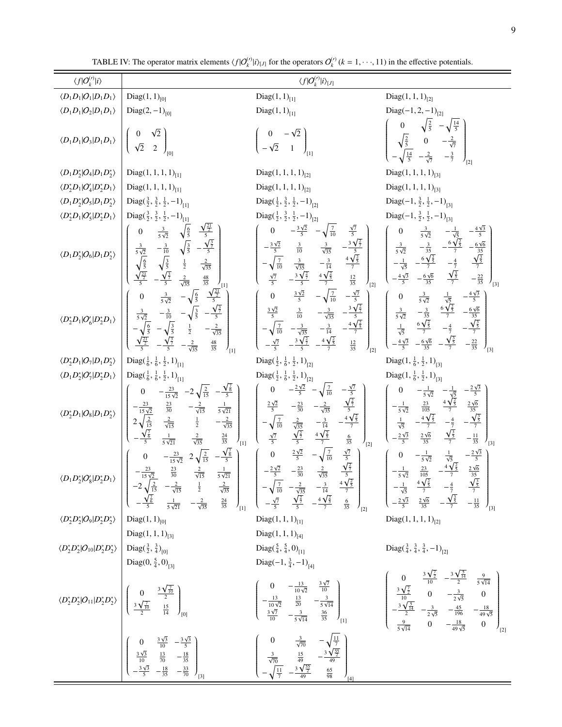| $\langle f O_k^{(\prime)} i\rangle$                                                                    |                                                                                                                                                                                                                                                                                                                                                                                                                                                                                                                              | $\langle f O^{(\prime)}_k i\rangle_{[J]}$                                                                                                                                                                                                                                                                                                                                                                    |                                                                                                                                                                                                                                                                                                                                                                                                                             |
|--------------------------------------------------------------------------------------------------------|------------------------------------------------------------------------------------------------------------------------------------------------------------------------------------------------------------------------------------------------------------------------------------------------------------------------------------------------------------------------------------------------------------------------------------------------------------------------------------------------------------------------------|--------------------------------------------------------------------------------------------------------------------------------------------------------------------------------------------------------------------------------------------------------------------------------------------------------------------------------------------------------------------------------------------------------------|-----------------------------------------------------------------------------------------------------------------------------------------------------------------------------------------------------------------------------------------------------------------------------------------------------------------------------------------------------------------------------------------------------------------------------|
| $\langle D_1D_1 O_1 D_1D_1\rangle$                                                                     | Diag $(1, 1)_{[0]}$                                                                                                                                                                                                                                                                                                                                                                                                                                                                                                          | Diag $(1, 1)_{[1]}$                                                                                                                                                                                                                                                                                                                                                                                          | Diag $(1, 1, 1)_{[2]}$                                                                                                                                                                                                                                                                                                                                                                                                      |
| $\langle D_1D_1 O_2 D_1D_1\rangle$                                                                     | Diag(2, $-1$ ) <sub>[0]</sub>                                                                                                                                                                                                                                                                                                                                                                                                                                                                                                | Diag $(1, 1)_{[1]}$                                                                                                                                                                                                                                                                                                                                                                                          | Diag $(-1, 2, -1)_{[2]}$                                                                                                                                                                                                                                                                                                                                                                                                    |
| $\langle D_1D_1 O_3 D_1D_1\rangle$                                                                     | $^{\prime}$ [0]                                                                                                                                                                                                                                                                                                                                                                                                                                                                                                              |                                                                                                                                                                                                                                                                                                                                                                                                              | $\sqrt{\frac{2}{5}}$ 0 $-\frac{2}{\sqrt{7}}$<br>$-\sqrt{\frac{14}{5}}$ $-\frac{2}{\sqrt{7}}$ $-\frac{3}{7}$                                                                                                                                                                                                                                                                                                                 |
| $\langle D_1D_2^* O_4 D_1D_2^*\rangle$                                                                 | Diag $(1, 1, 1, 1)_{[1]}$                                                                                                                                                                                                                                                                                                                                                                                                                                                                                                    | Diag $(1, 1, 1, 1)_{[2]}$                                                                                                                                                                                                                                                                                                                                                                                    | Diag $(1, 1, 1, 1)_{[3]}$                                                                                                                                                                                                                                                                                                                                                                                                   |
| $\langle D_2^*D_1 O_4' D_2^*D_1\rangle$                                                                | Diag $(1, 1, 1, 1)_{[1]}$                                                                                                                                                                                                                                                                                                                                                                                                                                                                                                    | Diag $(1, 1, 1, 1)_{[2]}$                                                                                                                                                                                                                                                                                                                                                                                    | Diag $(1, 1, 1, 1)_{[3]}$                                                                                                                                                                                                                                                                                                                                                                                                   |
| $\langle D_1D_2^* O_5 D_1D_2^*\rangle$                                                                 | Diag( $\frac{3}{2}$ , $\frac{3}{2}$ , $\frac{1}{2}$ , -1) <sub>[1]</sub>                                                                                                                                                                                                                                                                                                                                                                                                                                                     | Diag( $\frac{1}{2}$ , $\frac{3}{2}$ , $\frac{1}{2}$ , -1) <sub>[2]</sub>                                                                                                                                                                                                                                                                                                                                     | Diag( $-1$ , $\frac{3}{2}$ , $\frac{1}{2}$ , $-1$ ) <sub>[3]</sub>                                                                                                                                                                                                                                                                                                                                                          |
| $\langle D_2^*D_1 O_5' D_2^*D_1\rangle$                                                                | Diag( $\frac{3}{2}$ , $\frac{3}{2}$ , $\frac{1}{2}$ , -1) <sub>[1]</sub>                                                                                                                                                                                                                                                                                                                                                                                                                                                     | Diag( $\frac{1}{2}$ , $\frac{3}{2}$ , $\frac{1}{2}$ , -1) <sub>[2]</sub>                                                                                                                                                                                                                                                                                                                                     | Diag( $-1$ , $\frac{3}{2}$ , $\frac{1}{2}$ , $-1$ ) <sub>[3]</sub>                                                                                                                                                                                                                                                                                                                                                          |
| $\langle D_1D_2^* O_6 D_1D_2^*\rangle$                                                                 | $\frac{\sqrt{\frac{21}{2}}}{5}$<br>$\sqrt{\frac{6}{5}}$<br>$rac{3}{5\sqrt{2}}$<br>$\sqrt{\frac{3}{5}}$<br>$\frac{1}{2}$<br>$\frac{2}{\sqrt{35}}$<br>$-\frac{\sqrt{\frac{3}{7}}}{5}$<br>$-\frac{3}{10}$<br>$\sqrt{\frac{3}{5}}$<br>$-\frac{\sqrt{\frac{3}{7}}}{5}$<br>$rac{3}{5\sqrt{2}}$<br>$rac{6}{\sqrt{2}}$<br>$rac{6}{5}$<br>$\frac{2}{\sqrt{35}}$<br>$\frac{48}{35}$<br>$\frac{1}{11}$                                                                                                                                  | $-\frac{3\sqrt{2}}{5}$ $-\sqrt{\frac{7}{10}}$<br>$\frac{\sqrt{7}}{5}$<br>$\boldsymbol{0}$<br>$-\frac{3\sqrt{\frac{2}{7}}}{5}$<br>$rac{3}{10}$ $rac{3}{\sqrt{35}}$<br>$rac{3}{\sqrt{35}}$ $rac{-\frac{3}{14}}{1}$<br>$rac{3\sqrt{\frac{2}{7}}}{5}$ $rac{4\sqrt{\frac{2}{5}}}{7}$<br>$\frac{4\sqrt{\frac{2}{5}}}{7}$<br>$\frac{12}{35}$<br>$r_{121}$                                                           | $rac{3}{5\sqrt{2}}$<br>$-\frac{1}{\sqrt{5}}$<br>$-\frac{6\sqrt{6}}{35}$<br>$\frac{\sqrt{\frac{3}{5}}}{7}$<br>$rac{3}{5\sqrt{2}}$ $-\frac{3}{35}$<br>$-\frac{1}{\sqrt{5}}$ $-\frac{6\sqrt{\frac{2}{5}}}{7}$<br>$-\frac{4}{7}$<br>$\frac{\sqrt{\frac{3}{5}}}{7}$<br>$\frac{4\sqrt{3}}{5}$<br>$-\frac{6\sqrt{6}}{35}$<br>$-\frac{22}{35}$<br>$\frac{1}{3}$                                                                     |
| $\langle D_2^*D_1 O_6' D_2^*D_1\rangle$                                                                | $\frac{\sqrt{\frac{21}{2}}}{5}$<br>$\frac{3}{5\sqrt{2}}$<br>$-\sqrt{\frac{6}{5}}$<br>$\frac{3}{5\sqrt{2}}$ $-\frac{3}{10}$ $-\sqrt{\frac{3}{5}}$<br>$-\sqrt{\frac{6}{5}}$ $-\sqrt{\frac{3}{5}}$ $\frac{1}{2}$<br>$-\frac{2}{\sqrt{35}}$<br>$-\frac{2}{\sqrt{35}}$<br>$\frac{48}{35}$<br>$\frac{1}{11}$                                                                                                                                                                                                                       | $rac{3\sqrt{2}}{5}$ $-\sqrt{\frac{7}{10}}$<br>$\overline{0}$<br>$-\frac{\sqrt{7}}{5}$<br>$\frac{3\sqrt{2}}{5} \quad \frac{3}{10} \quad -\frac{3}{\sqrt{35}} \quad -\frac{3\sqrt{7}}{5}$<br>- $\sqrt{\frac{7}{10}} \quad -\frac{3}{\sqrt{35}} \quad -\frac{3}{14} \quad -\frac{4\sqrt{7}}{7}$<br>$-\frac{4\sqrt{\frac{2}{5}}}{7}$<br>$-\frac{3\sqrt{\frac{2}{7}}}{5}$<br>$\frac{12}{35}$<br>$\frac{1}{21}$    | $-\frac{4\sqrt{3}}{5}$<br>$\frac{3}{5\sqrt{2}}$<br>$rac{1}{\sqrt{5}}$<br>$rac{6\sqrt{\frac{2}{5}}}{7}$<br>$-\frac{4}{7}$<br>$\boldsymbol{0}$<br>$-\frac{3}{35}$<br>$\frac{6\sqrt{\frac{2}{5}}}{7}$<br>$-\frac{6\sqrt{6}}{35}$<br>$\frac{3}{5\sqrt{2}}$<br>$\frac{1}{\sqrt{5}}$<br>$-\frac{\sqrt{\frac{3}{5}}}{7}$<br>$-\frac{6\sqrt{6}}{35}$<br>$-\frac{22}{35}$<br>$-\frac{4\sqrt{3}}{5}$<br>$r_{131}$                     |
| $\langle D_2^*D_1 O_7 D_1D_2^*\rangle$                                                                 | Diag( $\frac{1}{6}$ , $\frac{1}{6}$ , $\frac{1}{2}$ , 1) <sub>[1]</sub>                                                                                                                                                                                                                                                                                                                                                                                                                                                      | Diag( $\frac{1}{2}$ , $\frac{1}{6}$ , $\frac{1}{2}$ , 1) <sub>[2]</sub>                                                                                                                                                                                                                                                                                                                                      | Diag(1, $\frac{1}{6}$ , $\frac{1}{2}$ , 1) <sub>[3]</sub>                                                                                                                                                                                                                                                                                                                                                                   |
| $\langle D_1D_2^* O_7' D_2^*D_1\rangle$                                                                | Diag( $\frac{1}{6}$ , $\frac{1}{6}$ , $\frac{1}{2}$ , 1) <sub>[1]</sub>                                                                                                                                                                                                                                                                                                                                                                                                                                                      | Diag( $\frac{1}{2}$ , $\frac{1}{6}$ , $\frac{1}{2}$ , 1) <sub>[2]</sub>                                                                                                                                                                                                                                                                                                                                      | Diag(1, $\frac{1}{6}$ , $\frac{1}{2}$ , 1) <sub>[3]</sub>                                                                                                                                                                                                                                                                                                                                                                   |
| $\langle D_2^*D_1 O_8 D_1D_2^*\rangle$                                                                 | $-\frac{23}{15\sqrt{2}}$ $-2\sqrt{\frac{2}{15}}$ $-\frac{\sqrt{\frac{7}{6}}}{5}$<br>$\frac{23}{30}$ - $\sqrt{1}$<br>$\frac{2}{\sqrt{15}}$ $\frac{1}{2}$ - $\sqrt{1}$<br>$\frac{2}{\sqrt{35}}$ $\frac{2}{\sqrt{2}}$<br>$-\frac{23}{15\sqrt{2}}$<br>2 $\sqrt{\frac{2}{15}}$<br>$rac{1}{5\sqrt{21}}$<br>$-\frac{2}{\sqrt{35}}$<br>$\frac{24}{35}$<br>$J_{[1]}$                                                                                                                                                                  | $-\frac{2\sqrt{2}}{5}$ $-\sqrt{\frac{7}{10}}$<br>$\frac{-\frac{\sqrt{7}}{5}}{\frac{\sqrt{\frac{2}{7}}}{5}}$<br>$\boldsymbol{0}$<br>$-\frac{2}{\sqrt{35}}$<br>$rac{2\sqrt{2}}{5}$<br>$-\frac{23}{30}$<br>$-\frac{4\sqrt{\frac{2}{5}}}{7}$<br>$-\frac{3}{14}$<br>$\frac{2}{\sqrt{35}}$<br>$\frac{\sqrt{\frac{2}{7}}}{5}$<br>$rac{4\sqrt{\frac{2}{5}}}{7}$<br>$rac{6}{35}$<br>$\frac{\sqrt{7}}{5}$<br>$J_{[2]}$ | $-\frac{2\sqrt{3}}{5}$<br>$-\frac{1}{5\sqrt{2}}$<br>$-\frac{1}{\sqrt{5}}$<br>$4\frac{\sqrt{2}}{7}$<br>$\frac{23}{105}$<br>$\frac{2\sqrt{6}}{35}$<br>$-\frac{1}{5\sqrt{2}}$<br>$-\frac{4\sqrt{\frac{2}{5}}}{7}$<br>$-\frac{\sqrt{\frac{3}{5}}}{7}$<br>$-\frac{4}{7}$<br>$rac{1}{\sqrt{5}}$<br>$\frac{\sqrt{\frac{3}{5}}}{7}$<br>$\frac{2\sqrt{6}}{35}$<br>$-\frac{2\sqrt{3}}{5}$<br>$-\frac{11}{35}$<br>$\frac{1}{3}$        |
|                                                                                                        | $-\frac{\sqrt{\frac{7}{6}}}{5}$<br>$2\sqrt{\frac{2}{15}}$<br>$-\frac{23}{15\sqrt{2}}$<br>$\boldsymbol{0}$<br>$\langle D_1D_2^* O_8' D_2^*D_1\rangle \begin{pmatrix} -\frac{23}{15\sqrt{2}} & \frac{23}{30} & \frac{2}{\sqrt{15}} & \frac{1}{5\sqrt{21}} \\ -2\sqrt{\frac{2}{15}} & -\frac{2}{\sqrt{15}} & \frac{1}{2} & \frac{2}{\sqrt{35}} \\ -\frac{\sqrt{5}}{5} & \frac{1}{5\sqrt{21}} & -\frac{2}{\sqrt{35}} & \frac{24}{35} \end{pmatrix}_{\text{III}} \begin{pmatrix} -\frac{2\sqrt{2}}{5} & -\frac{23}{30} & \frac{2$ | $\frac{\sqrt{7}}{5}$<br>$-\sqrt{\frac{7}{10}}$<br>$rac{2\sqrt{2}}{5}$<br>$\overline{0}$                                                                                                                                                                                                                                                                                                                      | $-\frac{2\sqrt{3}}{5}$<br>$\frac{1}{\sqrt{5}}$<br>$-\frac{1}{5\sqrt{2}}$<br>$\boldsymbol{0}$                                                                                                                                                                                                                                                                                                                                |
| $\langle D_2^*D_2^* O_9 D_2^*D_2^*\rangle$                                                             | Diag $(1, 1)_{[0]}$                                                                                                                                                                                                                                                                                                                                                                                                                                                                                                          | Diag $(1, 1, 1)_{[1]}$                                                                                                                                                                                                                                                                                                                                                                                       | Diag $(1, 1, 1, 1)_{[2]}$                                                                                                                                                                                                                                                                                                                                                                                                   |
|                                                                                                        | Diag $(1, 1, 1)_{[3]}$                                                                                                                                                                                                                                                                                                                                                                                                                                                                                                       | Diag $(1, 1, 1)_{[4]}$                                                                                                                                                                                                                                                                                                                                                                                       |                                                                                                                                                                                                                                                                                                                                                                                                                             |
| $\langle D_2^* D_2^*   O_{10}   D_2^* D_2^* \rangle$ Diag( $\frac{3}{2}, \frac{3}{4}$ ) <sub>[0]</sub> |                                                                                                                                                                                                                                                                                                                                                                                                                                                                                                                              | Diag( $\frac{5}{4}$ , $\frac{5}{4}$ , 0) <sub>[1]</sub>                                                                                                                                                                                                                                                                                                                                                      | Diag( $\frac{3}{4}$ , $\frac{3}{4}$ , $\frac{3}{4}$ , -1) <sub>[2]</sub>                                                                                                                                                                                                                                                                                                                                                    |
|                                                                                                        | Diag(0, $\frac{5}{4}$ , 0) <sub>[3]</sub><br>$\langle D_2^* D_2^*   O_{11}   D_2^* D_2^* \rangle \left  \left( \begin{array}{cc} 0 & \frac{3\sqrt{\frac{7}{10}}}{2} \\ \frac{3\sqrt{\frac{7}{10}}}{2} & \frac{15}{14} \end{array} \right)_{[0]} \right $                                                                                                                                                                                                                                                                     | Diag( $-1$ , $\frac{3}{4}$ , $-1$ ) <sub>[4]</sub>                                                                                                                                                                                                                                                                                                                                                           | $\left(\begin{array}{cccc} 0 & -\frac{13}{10\sqrt{2}} & \frac{3\sqrt{7}}{10} \\ -\frac{13}{10\sqrt{2}} & \frac{13}{20} & -\frac{3}{5\sqrt{14}} \\ \frac{3\sqrt{7}}{10} & -\frac{3}{5\sqrt{14}} & \frac{36}{35} \end{array}\right)_{[1]} \qquad \qquad \left(\begin{array}{cccc} 0 & \frac{3\sqrt{\frac{7}{2}}}{10} & -\frac{3\sqrt{\frac{5}{14}}}{2} & \frac{9}{5\sqrt{14}} \\ \frac{3\sqrt{\frac{7}{2}}}{10} & 0 & -\frac$ |
|                                                                                                        | $\begin{pmatrix} 2 & 14 & 7 \ 10 & 10 & -3 \ \end{pmatrix}$<br>$\begin{pmatrix} 0 & \frac{3\sqrt{3}}{10} & -\frac{3\sqrt{3}}{5} \\ \frac{3\sqrt{3}}{10} & \frac{13}{70} & -\frac{18}{35} \\ -\frac{3\sqrt{3}}{5} & -\frac{18}{35} & -\frac{33}{70} \end{pmatrix}_{[3]}$                                                                                                                                                                                                                                                      | $\left(\begin{array}{ccc} 0 & \frac{3}{\sqrt{70}} & -\sqrt{\frac{11}{7}} \\ \frac{3}{\sqrt{70}} & \frac{15}{49} & -\frac{3\sqrt{\frac{55}{2}}}{49} \\ -\sqrt{\frac{11}{7}} & -\frac{3\sqrt{\frac{55}{2}}}{49} & \frac{65}{98} \end{array}\right)_{\text{cm}}$                                                                                                                                                |                                                                                                                                                                                                                                                                                                                                                                                                                             |

<span id="page-8-0"></span>TABLE IV: [T](http://dx.doi.org/10.1007/s11434-014-0407-2)he operator matrix elements  $\langle f | O_k^{(i)} | i \rangle_{[J]}$  $\langle f | O_k^{(i)} | i \rangle_{[J]}$  $\langle f | O_k^{(i)} | i \rangle_{[J]}$  for the operators  $O_k^{(i)}$  ( $k = 1, \dots, 11$ ) in the effective potentials.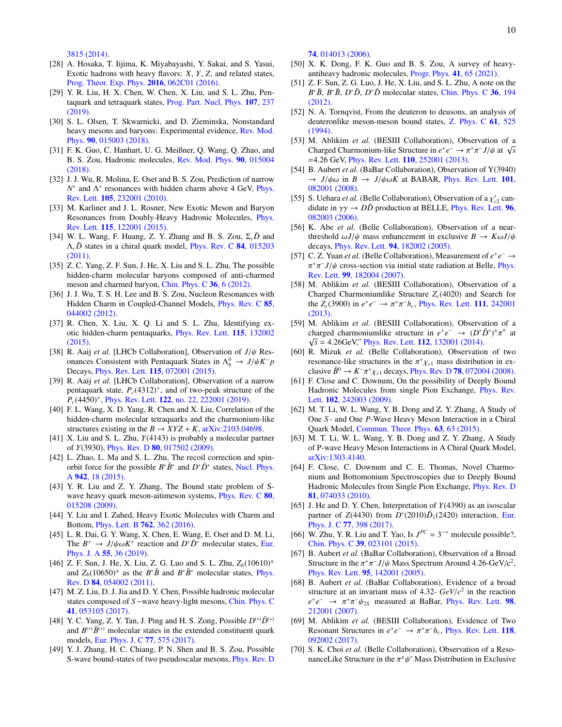[3815 \(2014\).](http://dx.doi.org/10.1007/s11434-014-0407-2)

- [28] A. Hosaka, T. Iijima, K. Miyabayashi, Y. Sakai, and S. Yasui, Exotic hadrons with heavy flavors: *X*, *Y*, *Z*, and related states, [Prog. Theor. Exp. Phys.](http://dx.doi.org/10.1093/ptep/ptw045) 2016, 062C01 (2016).
- [29] Y. R. Liu, H. X. Chen, W. Chen, X. Liu, and S. L. Zhu, Pentaquark and tetraquark states, [Prog. Part. Nucl. Phys.](https://www.sciencedirect.com/science/article/pii/S0146641019300304?via%3Dihub) 107, 237 [\(2019\).](https://www.sciencedirect.com/science/article/pii/S0146641019300304?via%3Dihub)
- [30] S. L. Olsen, T. Skwarnicki, and D. Zieminska, Nonstandard heavy mesons and baryons: Experimental evidence, [Rev. Mod.](https://journals.aps.org/rmp/abstract/10.1103/RevModPhys.90.015003) Phys. 90[, 015003 \(2018\).](https://journals.aps.org/rmp/abstract/10.1103/RevModPhys.90.015003)
- <span id="page-9-0"></span>[31] F. K. Guo, C. Hanhart, U. G. Meißner, Q. Wang, Q. Zhao, and B. S. Zou, Hadronic molecules, [Rev. Mod. Phys.](https://journals.aps.org/rmp/abstract/10.1103/RevModPhys.90.015004) 90, 015004 [\(2018\).](https://journals.aps.org/rmp/abstract/10.1103/RevModPhys.90.015004)
- <span id="page-9-1"></span>[32] J. J. Wu, R. Molina, E. Oset and B. S. Zou, Prediction of narrow *N*<sup>∗</sup> and Λ<sup>∗</sup> resonances with hidden charm above 4 GeV, [Phys.](https://journals.aps.org/prl/abstract/10.1103/PhysRevLett.105.232001) Rev. Lett. 105[, 232001 \(2010\).](https://journals.aps.org/prl/abstract/10.1103/PhysRevLett.105.232001)
- [33] M. Karliner and J. L. Rosner, New Exotic Meson and Baryon Resonances from Doubly-Heavy Hadronic Molecules, [Phys.](https://journals.aps.org/prl/abstract/10.1103/PhysRevLett.115.122001) Rev. Lett. 115[, 122001 \(2015\).](https://journals.aps.org/prl/abstract/10.1103/PhysRevLett.115.122001)
- [34] W. L. Wang, F. Huang, Z. Y. Zhang and B. S. Zou,  $\Sigma_c \bar{D}$  and Λ*cD*¯ states in a chiral quark model, [Phys. Rev. C](https://journals.aps.org/prc/abstract/10.1103/PhysRevC.84.015203) 84, 015203 [\(2011\).](https://journals.aps.org/prc/abstract/10.1103/PhysRevC.84.015203)
- [35] Z. C. Yang, Z. F. Sun, J. He, X. Liu and S. L. Zhu, The possible hidden-charm molecular baryons composed of anti-charmed meson and charmed baryon, [Chin. Phys. C](https://iopscience.iop.org/article/10.1088/1674-1137/36/1/002) 36, 6 (2012).
- [36] J. J. Wu, T. S. H. Lee and B. S. Zou, Nucleon Resonances with Hidden Charm in Coupled-Channel Models, [Phys. Rev. C](https://journals.aps.org/prc/abstract/10.1103/PhysRevC.85.044002) 85, [044002 \(2012\).](https://journals.aps.org/prc/abstract/10.1103/PhysRevC.85.044002)
- <span id="page-9-2"></span>[37] R. Chen, X. Liu, X. Q. Li and S. L. Zhu, Identifying exotic hidden-charm pentaquarks, [Phys. Rev. Lett.](https://journals.aps.org/prl/abstract/10.1103/PhysRevLett.115.132002) 115, 132002 [\(2015\).](https://journals.aps.org/prl/abstract/10.1103/PhysRevLett.115.132002)
- <span id="page-9-3"></span>[38] R. Aaij *et al.* [LHCb Collaboration], Observation of *<sup>J</sup>*/ψ Resonances Consistent with Pentaquark States in  $\Lambda_b^0 \to J/\psi K^- p$ <br>Decays Phys Rev Lett 115 072001 (2015) Decays, Phys. Rev. Lett. 115[, 072001 \(2015\).](https://journals.aps.org/prl/abstract/10.1103/PhysRevLett.115.072001)
- <span id="page-9-4"></span>[39] R. Aaij et al. [LHCb Collaboration], Observation of a narrow pentaquark state,  $P_c(4312)^+$ , and of two-peak structure of the *Pc*(4450)<sup>+</sup> , Phys. Rev. Lett. 122[, no. 22, 222001 \(2019\).](https://journals.aps.org/prl/abstract/10.1103/PhysRevLett.122.222001)
- <span id="page-9-5"></span>[40] F. L. Wang, X. D. Yang, R. Chen and X. Liu, Correlation of the hidden-charm molecular tetraquarks and the charmonium-like structures existing in the  $B \to XYZ + K$ , [arXiv:2103.04698.](https://arxiv.org/abs/2103.04698)
- [41] X. Liu and S. L. Zhu, *Y*(4143) is probably a molecular partner of *Y*(3930), Phys. Rev. D 80[, 017502 \(2009\).](https://journals.aps.org/prd/abstract/10.1103/PhysRevD.80.017502)
- [42] L. Zhao, L. Ma and S. L. Zhu, The recoil correction and spinorbit force for the possible  $B^* \overline{B}^*$  and  $D^* \overline{D}^*$  states, [Nucl. Phys.](https://www.sciencedirect.com/science/article/pii/S0375947415001396?via%3Dihub) A 942[, 18 \(2015\).](https://www.sciencedirect.com/science/article/pii/S0375947415001396?via%3Dihub)
- [43] Y. R. Liu and Z. Y. Zhang, The Bound state problem of Swave heavy quark meson-aitimeson systems, *[Phys. Rev. C](https://journals.aps.org/prc/abstract/10.1103/PhysRevC.80.015208)* 80, [015208 \(2009\).](https://journals.aps.org/prc/abstract/10.1103/PhysRevC.80.015208)
- [44] Y. Liu and I. Zahed, Heavy Exotic Molecules with Charm and Bottom, [Phys. Lett. B](https://www.sciencedirect.com/science/article/pii/S0370269316305494?via%3Dihub) 762, 362 (2016).
- [45] L. R. Dai, G. Y. Wang, X. Chen, E. Wang, E. Oset and D. M. Li, The  $B^+ \to J/\psi \omega K^+$  reaction and  $D^* \bar{D}^*$  molecular states, [Eur.](https://link.springer.com/article/10.1140%2Fepja%2Fi2019-12706-6)<br>Phys. I. A. 55, 36 (2019) Phys. J. A 55[, 36 \(2019\).](https://link.springer.com/article/10.1140%2Fepja%2Fi2019-12706-6)
- [46] Z. F. Sun, J. He, X. Liu, Z. G. Luo and S. L. Zhu,  $Z_b(10610)^{\pm}$ and  $Z_b(10650)^{\pm}$  as the  $B^*\bar{B}$  and  $B^*\bar{B}^*$  molecular states, [Phys.](https://journals.aps.org/prd/abstract/10.1103/PhysRevD.84.054002) Rev. D 84[, 054002 \(2011\).](https://journals.aps.org/prd/abstract/10.1103/PhysRevD.84.054002)
- [47] M. Z. Liu, D. J. Jia and D. Y. Chen, Possible hadronic molecular states composed of *S*−wave heavy-light mesons, [Chin. Phys. C](https://iopscience.iop.org/article/10.1088/1674-1137/41/5/053105) 41[, 053105 \(2017\).](https://iopscience.iop.org/article/10.1088/1674-1137/41/5/053105)
- [48] Y. C. Yang, Z. Y. Tan, J. Ping and H. S. Zong, Possible  $D^{(*)}\bar{D}^{(*)}$ and  $B^{(*)}\bar{B}^{(*)}$  molecular states in the extended constituent quark models, [Eur. Phys. J. C](https://link.springer.com/article/10.1140%2Fepjc%2Fs10052-017-5137-6) 77, 575 (2017).
- [49] Y. J. Zhang, H. C. Chiang, P. N. Shen and B. S. Zou, Possible S-wave bound-states of two pseudoscalar mesons, [Phys. Rev. D](https://journals.aps.org/prd/abstract/10.1103/PhysRevD.74.014013)

74[, 014013 \(2006\).](https://journals.aps.org/prd/abstract/10.1103/PhysRevD.74.014013)

- <span id="page-9-15"></span>[50] X. K. Dong, F. K. Guo and B. S. Zou, A survey of heavyantiheavy hadronic molecules, [Progr. Phys.](http://dx.doi.org/10.13725/j.cnki.pip.2021.02.001) 41, 65 (2021).
- [51] Z. F. Sun, Z. G. Luo, J. He, X. Liu, and S. L. Zhu, A note on the  $B^* \overline{B}$ ,  $B^* \overline{B}$ ,  $D^* \overline{D}$ ,  $D^* \overline{D}$  molecular states, [Chin. Phys. C](https://iopscience.iop.org/article/10.1088/1674-1137/36/3/002) 36, 194 [\(2012\).](https://iopscience.iop.org/article/10.1088/1674-1137/36/3/002)
- <span id="page-9-6"></span>[52] N. A. Tornqvist, From the deuteron to deusons, an analysis of deuteronlike meson-meson bound states, [Z. Phys. C](https://link.springer.com/article/10.1007%2FBF01413192) 61, 525  $(1994)$
- <span id="page-9-7"></span>[53] M. Ablikim et al. (BESIII Collaboration), Observation of a M. Abilkini *et al.* (**bESIII** Conaboration), Observation of a<br>Charged Charmonium-like Structure in *e*<sup>+</sup>*e*<sup>−</sup> → π<sup>+</sup>π<sup>−</sup>*J*/ψ at √*s*<br>=4.26 GeV Phys. Rev I ett 110.252001.(2013)  $=4.26$  GeV, Phys. Rev. Lett. 110[, 252001 \(2013\).](https://journals.aps.org/prl/abstract/10.1103/PhysRevLett.110.252001)
- <span id="page-9-8"></span>[54] B. Aubert *et al.* (BaBar Collaboration), Observation of Y(3940)  $\rightarrow$  *J*/ $\psi \omega$  in *B*  $\rightarrow$  *J*/ $\psi \omega K$  at BABAR, [Phys. Rev. Lett.](https://journals.aps.org/prl/abstract/10.1103/PhysRevLett.101.082001) 101, [082001 \(2008\).](https://journals.aps.org/prl/abstract/10.1103/PhysRevLett.101.082001)
- <span id="page-9-9"></span>[55] S. Uehara *et al.* (Belle Collaboration), Observation of a  $\chi'_{c2}$  can-<br>didate in  $20' \rightarrow D\bar{D}$  production at RELLE Phys. Rev. Lett. 96 didate in  $\gamma\gamma \to D\bar{D}$  production at BELLE, *[Phys. Rev. Lett.](https://doi.org/10.1103/PhysRevLett.96.082003)* **96**, [082003 \(2006\).](https://doi.org/10.1103/PhysRevLett.96.082003)
- <span id="page-9-10"></span>[56] K. Abe *et al.* (Belle Collaboration), Observation of a nearthreshold  $\omega J/\psi$  mass enhancement in exclusive  $B \to K \omega J/\psi$ decays, Phys. Rev. Lett. 94[, 182002 \(2005\).](https://journals.aps.org/prl/abstract/10.1103/PhysRevLett.94.182002)
- <span id="page-9-11"></span>[57] C. Z. Yuan *et al.* (Belle Collaboration), Measurement of  $e^+e^- \rightarrow$ Rev. Lett. 99[, 182004 \(2007\).](https://journals.aps.org/prl/abstract/10.1103/PhysRevLett.99.182004) <sup>+</sup>π<sup>-</sup> *J*/ψ cross-section via initial state radiation at Belle, [Phys.](https://journals.aps.org/prl/abstract/10.1103/PhysRevLett.99.182004)<br>
ev Lett 99 182004 (2007)
- <span id="page-9-12"></span>[58] M. Ablikim *et al.* (BESIII Collaboration), Observation of a Charged Charmoniumlike Structure *Zc*(4020) and Search for the  $Z_c$ (3900) in  $e^+e^- \to \pi^+\pi^-h_c$ , [Phys. Rev. Lett.](https://journals.aps.org/prl/abstract/10.1103/PhysRevLett.111.242001) **111**, 242001<br>(2013) [\(2013\).](https://journals.aps.org/prl/abstract/10.1103/PhysRevLett.111.242001)
- <span id="page-9-13"></span>[59] M. Ablikim *et al.* (BESIII Collaboration), Observation of a charged charmoniumlike structure in  $e^+e^- \rightarrow (D^*\bar{D}^*)^{\pm}\pi^{\mp}$  at  $\sqrt{s}$  = 4.26GeV," Phys. Rev. Lett. **112**[, 132001 \(2014\).](https://journals.aps.org/prl/abstract/10.1103/PhysRevLett.112.132001)
- <span id="page-9-14"></span>[60] R. Mizuk *et al.* (Belle Collaboration), Observation of two resonance-like structures in the  $\pi^+\chi_{c1}$  mass distribution in ex-<br>clusive  $\bar{R}^0 \to K^-\pi^+\nu$ , decays Phys Rev D.78 072004 (2008) clusive  $\bar{B}^0 \to K^-\pi^+\chi_{c1}$  decays, *Phys. Rev. D* 78[, 072004 \(2008\).](https://journals.aps.org/prd/abstract/10.1103/PhysRevD.78.072004)<br>F. Close and C. Downum, On the possibility of Deeply Bound
- <span id="page-9-16"></span>π [61] F. Close and C. Downum, On the possibility of Deeply Bound Hadronic Molecules from single Pion Exchange, [Phys. Rev.](https://journals.aps.org/prl/abstract/10.1103/PhysRevLett.102.242003) Lett. 102[, 242003 \(2009\).](https://journals.aps.org/prl/abstract/10.1103/PhysRevLett.102.242003)
- <span id="page-9-22"></span>[62] M. T. Li, W. L. Wang, Y. B. Dong and Z. Y. Zhang, A Study of One *S* - and One *P*-Wave Heavy Meson Interaction in a Chiral Quark Model, [Commun. Theor. Phys.](https://iopscience.iop.org/article/10.1088/0253-6102/63/1/11/meta) 63, 63 (2015).
- [63] M. T. Li, W. L. Wang, Y. B. Dong and Z. Y. Zhang, A Study of P-wave Heavy Meson Interactions in A Chiral Quark Model, [arXiv:1303.4140.](https://arxiv.org/abs/1303.4140)
- [64] F. Close, C. Downum and C. E. Thomas, Novel Charmonium and Bottomonium Spectroscopies due to Deeply Bound Hadronic Molecules from Single Pion Exchange, [Phys. Rev. D](https://journals.aps.org/prd/abstract/10.1103/PhysRevD.81.074033) 81[, 074033 \(2010\).](https://journals.aps.org/prd/abstract/10.1103/PhysRevD.81.074033)
- [65] J. He and D. Y. Chen, Interpretation of *Y*(4390) as an isoscalar partner of *Z*(4430) from  $\overline{D}^*(2010)\overline{D}_1(2420)$  interaction, [Eur.](https://link.springer.com/article/10.1140/epjc/s10052-017-4973-8) Phys. J. C 77[, 398 \(2017\).](https://link.springer.com/article/10.1140/epjc/s10052-017-4973-8)
- <span id="page-9-17"></span>[66] W. Zhu, Y. R. Liu and T. Yao, Is  $J^{PC} = 3^{-+}$  molecule possible?, Chin. Phys. C 39[, 023101 \(2015\).](https://iopscience.iop.org/article/10.1088/1674-1137/39/2/023101/meta)
- <span id="page-9-18"></span>[67] B. Aubert *et al.* (BaBar Collaboration), Observation of a Broad Structure in the  $\pi^+\pi^- J/\psi$  Mass Spectrum Around 4.26-GeV/c<sup>2</sup>,<br>Phys. Rev. Lett. **95**, 142001 (2005) Phys. Rev. Lett. 95[, 142001 \(2005\).](https://journals.aps.org/prl/abstract/10.1103/PhysRevLett.95.142001)
- <span id="page-9-19"></span>[68] B. Aubert *et al.* (BaBar Collaboration), Evidence of a broad structure at an invariant mass of 4.32-  $GeV/c^2$  in the reaction<br> $e^+e^- \rightarrow \pi^+\pi^-$  //<sub>02</sub> measured at BaBar. Phys. Rev. Lett. **98**  $e^+e^- \rightarrow \pi^+\pi^-\psi_{2S}$  measured at BaBar, *[Phys. Rev. Lett.](https://journals.aps.org/prd/abstract/10.1103/PhysRevD.78.072004)* **98**, 212001 (2007) π [212001 \(2007\).](https://journals.aps.org/prd/abstract/10.1103/PhysRevD.78.072004)
- <span id="page-9-20"></span>[69] M. Ablikim *et al.* (BESIII Collaboration), Evidence of Two Resonant Structures in  $e^+e^- \to \pi^+\pi^-h_c$ , [Phys. Rev. Lett.](https://doi.org/10.1103/PhysRevLett.118.092002) 118, 092002 (2017) [092002 \(2017\).](https://doi.org/10.1103/PhysRevLett.118.092002)
- <span id="page-9-21"></span>[70] S. K. Choi et al. (Belle Collaboration), Observation of a ResonanceLike Structure in the  $\pi^{\pm}\psi'$  Mass Distribution in Exclusive ψ